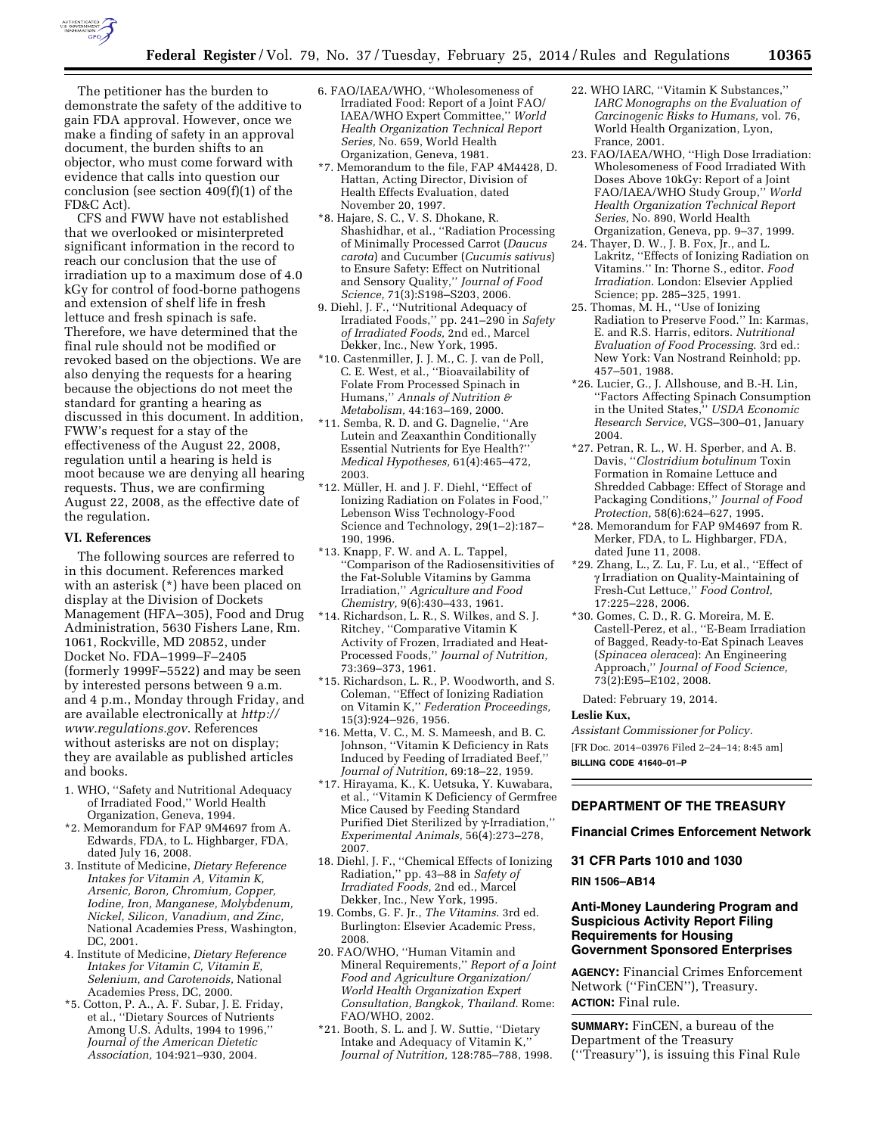

The petitioner has the burden to demonstrate the safety of the additive to gain FDA approval. However, once we make a finding of safety in an approval document, the burden shifts to an objector, who must come forward with evidence that calls into question our conclusion (see section 409(f)(1) of the FD&C Act).

CFS and FWW have not established that we overlooked or misinterpreted significant information in the record to reach our conclusion that the use of irradiation up to a maximum dose of 4.0 kGy for control of food-borne pathogens and extension of shelf life in fresh lettuce and fresh spinach is safe. Therefore, we have determined that the final rule should not be modified or revoked based on the objections. We are also denying the requests for a hearing because the objections do not meet the standard for granting a hearing as discussed in this document. In addition, FWW's request for a stay of the effectiveness of the August 22, 2008, regulation until a hearing is held is moot because we are denying all hearing requests. Thus, we are confirming August 22, 2008, as the effective date of the regulation.

### **VI. References**

The following sources are referred to in this document. References marked with an asterisk (\*) have been placed on display at the Division of Dockets Management (HFA–305), Food and Drug Administration, 5630 Fishers Lane, Rm. 1061, Rockville, MD 20852, under Docket No. FDA–1999–F–2405 (formerly 1999F–5522) and may be seen by interested persons between 9 a.m. and 4 p.m., Monday through Friday, and are available electronically at *[http://](http://www.regulations.gov) [www.regulations.gov](http://www.regulations.gov)*. References without asterisks are not on display; they are available as published articles and books.

- 1. WHO, ''Safety and Nutritional Adequacy of Irradiated Food,'' World Health Organization, Geneva, 1994.
- \*2. Memorandum for FAP 9M4697 from A. Edwards, FDA, to L. Highbarger, FDA, dated July 16, 2008.
- 3. Institute of Medicine, *Dietary Reference Intakes for Vitamin A, Vitamin K, Arsenic, Boron, Chromium, Copper, Iodine, Iron, Manganese, Molybdenum, Nickel, Silicon, Vanadium, and Zinc,*  National Academies Press, Washington, DC, 2001.
- 4. Institute of Medicine, *Dietary Reference Intakes for Vitamin C, Vitamin E, Selenium, and Carotenoids,* National Academies Press, DC, 2000.
- \*5. Cotton, P. A., A. F. Subar, J. E. Friday, et al., ''Dietary Sources of Nutrients Among U.S. Adults, 1994 to 1996,'' *Journal of the American Dietetic Association,* 104:921–930, 2004.
- 6. FAO/IAEA/WHO, ''Wholesomeness of Irradiated Food: Report of a Joint FAO/ IAEA/WHO Expert Committee,'' *World Health Organization Technical Report Series,* No. 659, World Health Organization, Geneva, 1981.
- \*7. Memorandum to the file, FAP 4M4428, D. Hattan, Acting Director, Division of Health Effects Evaluation, dated November 20, 1997.
- \*8. Hajare, S. C., V. S. Dhokane, R. Shashidhar, et al., ''Radiation Processing of Minimally Processed Carrot (*Daucus carota*) and Cucumber (*Cucumis sativus*) to Ensure Safety: Effect on Nutritional and Sensory Quality,'' *Journal of Food Science,* 71(3):S198–S203, 2006.
- 9. Diehl, J. F., ''Nutritional Adequacy of Irradiated Foods,'' pp. 241–290 in *Safety of Irradiated Foods,* 2nd ed., Marcel Dekker, Inc., New York, 1995.
- \*10. Castenmiller, J. J. M., C. J. van de Poll, C. E. West, et al., ''Bioavailability of Folate From Processed Spinach in Humans,'' *Annals of Nutrition & Metabolism,* 44:163–169, 2000.
- \*11. Semba, R. D. and G. Dagnelie, ''Are Lutein and Zeaxanthin Conditionally Essential Nutrients for Eye Health?'' *Medical Hypotheses,* 61(4):465–472, 2003.
- \*12. Mu¨ller, H. and J. F. Diehl, ''Effect of Ionizing Radiation on Folates in Food,'' Lebenson Wiss Technology-Food Science and Technology, 29(1–2):187– 190, 1996.
- \*13. Knapp, F. W. and A. L. Tappel, ''Comparison of the Radiosensitivities of the Fat-Soluble Vitamins by Gamma Irradiation,'' *Agriculture and Food Chemistry,* 9(6):430–433, 1961.
- \*14. Richardson, L. R., S. Wilkes, and S. J. Ritchey, ''Comparative Vitamin K Activity of Frozen, Irradiated and Heat-Processed Foods,'' *Journal of Nutrition,*  73:369–373, 1961.
- \*15. Richardson, L. R., P. Woodworth, and S. Coleman, ''Effect of Ionizing Radiation on Vitamin K,'' *Federation Proceedings,*  15(3):924–926, 1956.
- \*16. Metta, V. C., M. S. Mameesh, and B. C. Johnson, ''Vitamin K Deficiency in Rats Induced by Feeding of Irradiated Beef,'' *Journal of Nutrition,* 69:18–22, 1959.
- \*17. Hirayama, K., K. Uetsuka, Y. Kuwabara, et al., ''Vitamin K Deficiency of Germfree Mice Caused by Feeding Standard Purified Diet Sterilized by g-Irradiation,'' *Experimental Animals,* 56(4):273–278, 2007.
- 18. Diehl, J. F., ''Chemical Effects of Ionizing Radiation,'' pp. 43–88 in *Safety of Irradiated Foods,* 2nd ed., Marcel Dekker, Inc., New York, 1995.
- 19. Combs, G. F. Jr., *The Vitamins*. 3rd ed. Burlington: Elsevier Academic Press, 2008.
- 20. FAO/WHO, ''Human Vitamin and Mineral Requirements,'' *Report of a Joint Food and Agriculture Organization/ World Health Organization Expert Consultation, Bangkok, Thailand*. Rome: FAO/WHO, 2002.
- \*21. Booth, S. L. and J. W. Suttie, ''Dietary Intake and Adequacy of Vitamin K,'' *Journal of Nutrition,* 128:785–788, 1998.
- 22. WHO IARC, ''Vitamin K Substances,'' *IARC Monographs on the Evaluation of Carcinogenic Risks to Humans,* vol. 76, World Health Organization, Lyon, France, 2001.
- 23. FAO/IAEA/WHO, ''High Dose Irradiation: Wholesomeness of Food Irradiated With Doses Above 10kGy: Report of a Joint FAO/IAEA/WHO Study Group,'' *World Health Organization Technical Report Series,* No. 890, World Health Organization, Geneva, pp. 9–37, 1999.
- 24. Thayer, D. W., J. B. Fox, Jr., and L. Lakritz, ''Effects of Ionizing Radiation on Vitamins.'' In: Thorne S., editor. *Food Irradiation*. London: Elsevier Applied Science; pp. 285–325, 1991.
- 25. Thomas, M. H., ''Use of Ionizing Radiation to Preserve Food.'' In: Karmas, E. and R.S. Harris, editors. *Nutritional Evaluation of Food Processing*. 3rd ed.: New York: Van Nostrand Reinhold; pp. 457–501, 1988.
- \*26. Lucier, G., J. Allshouse, and B.-H. Lin, ''Factors Affecting Spinach Consumption in the United States,'' *USDA Economic Research Service,* VGS–300–01, January 2004.
- \*27. Petran, R. L., W. H. Sperber, and A. B. Davis, ''*Clostridium botulinum* Toxin Formation in Romaine Lettuce and Shredded Cabbage: Effect of Storage and Packaging Conditions,'' *Journal of Food Protection,* 58(6):624–627, 1995.
- \*28. Memorandum for FAP 9M4697 from R. Merker, FDA, to L. Highbarger, FDA, dated June 11, 2008.
- \*29. Zhang, L., Z. Lu, F. Lu, et al., ''Effect of g Irradiation on Quality-Maintaining of Fresh-Cut Lettuce,'' *Food Control,*  17:225–228, 2006.
- \*30. Gomes, C. D., R. G. Moreira, M. E. Castell-Perez, et al., ''E-Beam Irradiation of Bagged, Ready-to-Eat Spinach Leaves (*Spinacea oleracea*): An Engineering Approach,'' *Journal of Food Science,*  73(2):E95–E102, 2008.

Dated: February 19, 2014.

## **Leslie Kux,**

*Assistant Commissioner for Policy.*  [FR Doc. 2014–03976 Filed 2–24–14; 8:45 am] **BILLING CODE 41640–01–P** 

## **DEPARTMENT OF THE TREASURY**

**Financial Crimes Enforcement Network** 

**31 CFR Parts 1010 and 1030** 

## **RIN 1506–AB14**

## **Anti-Money Laundering Program and Suspicious Activity Report Filing Requirements for Housing Government Sponsored Enterprises**

**AGENCY:** Financial Crimes Enforcement Network (''FinCEN''), Treasury. **ACTION:** Final rule.

**SUMMARY:** FinCEN, a bureau of the Department of the Treasury (''Treasury''), is issuing this Final Rule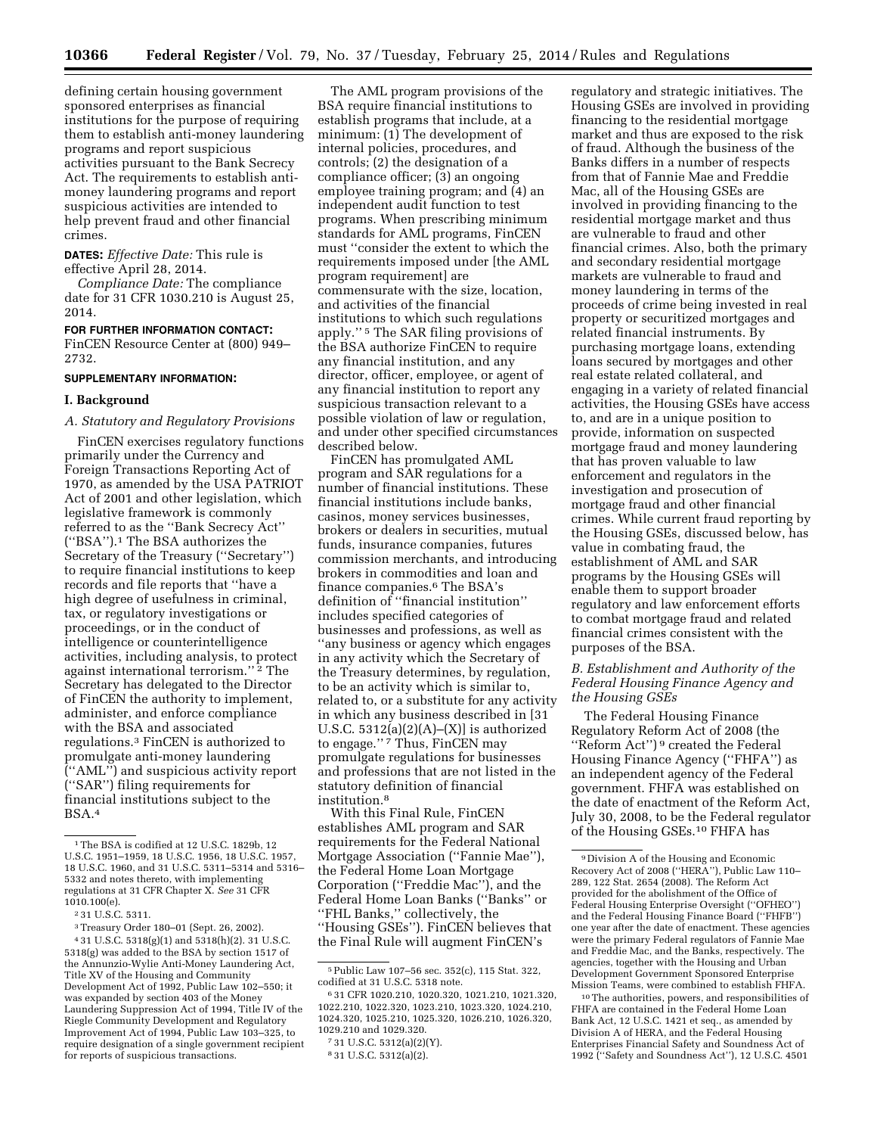defining certain housing government sponsored enterprises as financial institutions for the purpose of requiring them to establish anti-money laundering programs and report suspicious activities pursuant to the Bank Secrecy Act. The requirements to establish antimoney laundering programs and report suspicious activities are intended to help prevent fraud and other financial crimes.

**DATES:** *Effective Date:* This rule is effective April 28, 2014.

*Compliance Date:* The compliance date for 31 CFR 1030.210 is August 25, 2014.

# **FOR FURTHER INFORMATION CONTACT:**

FinCEN Resource Center at (800) 949– 2732.

## **SUPPLEMENTARY INFORMATION:**

### **I. Background**

### *A. Statutory and Regulatory Provisions*

FinCEN exercises regulatory functions primarily under the Currency and Foreign Transactions Reporting Act of 1970, as amended by the USA PATRIOT Act of 2001 and other legislation, which legislative framework is commonly referred to as the ''Bank Secrecy Act'' (''BSA'').1 The BSA authorizes the Secretary of the Treasury (''Secretary'') to require financial institutions to keep records and file reports that ''have a high degree of usefulness in criminal, tax, or regulatory investigations or proceedings, or in the conduct of intelligence or counterintelligence activities, including analysis, to protect against international terrorism."<sup>2</sup> The Secretary has delegated to the Director of FinCEN the authority to implement, administer, and enforce compliance with the BSA and associated regulations.3 FinCEN is authorized to promulgate anti-money laundering (''AML'') and suspicious activity report (''SAR'') filing requirements for financial institutions subject to the BSA.4

The AML program provisions of the BSA require financial institutions to establish programs that include, at a minimum: (1) The development of internal policies, procedures, and controls; (2) the designation of a compliance officer; (3) an ongoing employee training program; and (4) an independent audit function to test programs. When prescribing minimum standards for AML programs, FinCEN must ''consider the extent to which the requirements imposed under [the AML program requirement] are commensurate with the size, location, and activities of the financial institutions to which such regulations apply.'' 5 The SAR filing provisions of the BSA authorize FinCEN to require any financial institution, and any director, officer, employee, or agent of any financial institution to report any suspicious transaction relevant to a possible violation of law or regulation, and under other specified circumstances described below.

FinCEN has promulgated AML program and SAR regulations for a number of financial institutions. These financial institutions include banks, casinos, money services businesses, brokers or dealers in securities, mutual funds, insurance companies, futures commission merchants, and introducing brokers in commodities and loan and finance companies.6 The BSA's definition of ''financial institution'' includes specified categories of businesses and professions, as well as ''any business or agency which engages in any activity which the Secretary of the Treasury determines, by regulation, to be an activity which is similar to, related to, or a substitute for any activity in which any business described in [31 U.S.C.  $5312(a)(2)(A)–(X)$ ] is authorized to engage.'' 7 Thus, FinCEN may promulgate regulations for businesses and professions that are not listed in the statutory definition of financial institution.8

With this Final Rule, FinCEN establishes AML program and SAR requirements for the Federal National Mortgage Association (''Fannie Mae''), the Federal Home Loan Mortgage Corporation (''Freddie Mac''), and the Federal Home Loan Banks (''Banks'' or ''FHL Banks,'' collectively, the ''Housing GSEs''). FinCEN believes that the Final Rule will augment FinCEN's

8 31 U.S.C. 5312(a)(2).

regulatory and strategic initiatives. The Housing GSEs are involved in providing financing to the residential mortgage market and thus are exposed to the risk of fraud. Although the business of the Banks differs in a number of respects from that of Fannie Mae and Freddie Mac, all of the Housing GSEs are involved in providing financing to the residential mortgage market and thus are vulnerable to fraud and other financial crimes. Also, both the primary and secondary residential mortgage markets are vulnerable to fraud and money laundering in terms of the proceeds of crime being invested in real property or securitized mortgages and related financial instruments. By purchasing mortgage loans, extending loans secured by mortgages and other real estate related collateral, and engaging in a variety of related financial activities, the Housing GSEs have access to, and are in a unique position to provide, information on suspected mortgage fraud and money laundering that has proven valuable to law enforcement and regulators in the investigation and prosecution of mortgage fraud and other financial crimes. While current fraud reporting by the Housing GSEs, discussed below, has value in combating fraud, the establishment of AML and SAR programs by the Housing GSEs will enable them to support broader regulatory and law enforcement efforts to combat mortgage fraud and related financial crimes consistent with the purposes of the BSA.

## *B. Establishment and Authority of the Federal Housing Finance Agency and the Housing GSEs*

The Federal Housing Finance Regulatory Reform Act of 2008 (the ''Reform Act'') 9 created the Federal Housing Finance Agency (''FHFA'') as an independent agency of the Federal government. FHFA was established on the date of enactment of the Reform Act, July 30, 2008, to be the Federal regulator of the Housing GSEs.10 FHFA has

10The authorities, powers, and responsibilities of FHFA are contained in the Federal Home Loan Bank Act, 12 U.S.C. 1421 et seq., as amended by Division A of HERA, and the Federal Housing Enterprises Financial Safety and Soundness Act of 1992 (''Safety and Soundness Act''), 12 U.S.C. 4501

<sup>&</sup>lt;sup>1</sup>The BSA is codified at 12 U.S.C. 1829b, 12 U.S.C. 1951–1959, 18 U.S.C. 1956, 18 U.S.C. 1957, 18 U.S.C. 1960, and 31 U.S.C. 5311–5314 and 5316– 5332 and notes thereto, with implementing regulations at 31 CFR Chapter X. *See* 31 CFR 1010.100(e).

<sup>2</sup> 31 U.S.C. 5311.

<sup>3</sup>Treasury Order 180–01 (Sept. 26, 2002). 4 31 U.S.C. 5318(g)(1) and 5318(h)(2). 31 U.S.C. 5318(g) was added to the BSA by section 1517 of the Annunzio-Wylie Anti-Money Laundering Act, Title XV of the Housing and Community Development Act of 1992, Public Law 102–550; it was expanded by section 403 of the Money Laundering Suppression Act of 1994, Title IV of the Riegle Community Development and Regulatory Improvement Act of 1994, Public Law 103–325, to require designation of a single government recipient for reports of suspicious transactions.

<sup>5</sup>Public Law 107–56 sec. 352(c), 115 Stat. 322, codified at 31 U.S.C. 5318 note.

<sup>6</sup> 31 CFR 1020.210, 1020.320, 1021.210, 1021.320, 1022.210, 1022.320, 1023.210, 1023.320, 1024.210, 1024.320, 1025.210, 1025.320, 1026.210, 1026.320, 1029.210 and 1029.320.

<sup>7</sup> 31 U.S.C. 5312(a)(2)(Y).

<sup>9</sup> Division A of the Housing and Economic Recovery Act of 2008 (''HERA''), Public Law 110– 289, 122 Stat. 2654 (2008). The Reform Act provided for the abolishment of the Office of Federal Housing Enterprise Oversight (''OFHEO'') and the Federal Housing Finance Board (''FHFB'') one year after the date of enactment. These agencies were the primary Federal regulators of Fannie Mae and Freddie Mac, and the Banks, respectively. The agencies, together with the Housing and Urban Development Government Sponsored Enterprise Mission Teams, were combined to establish FHFA.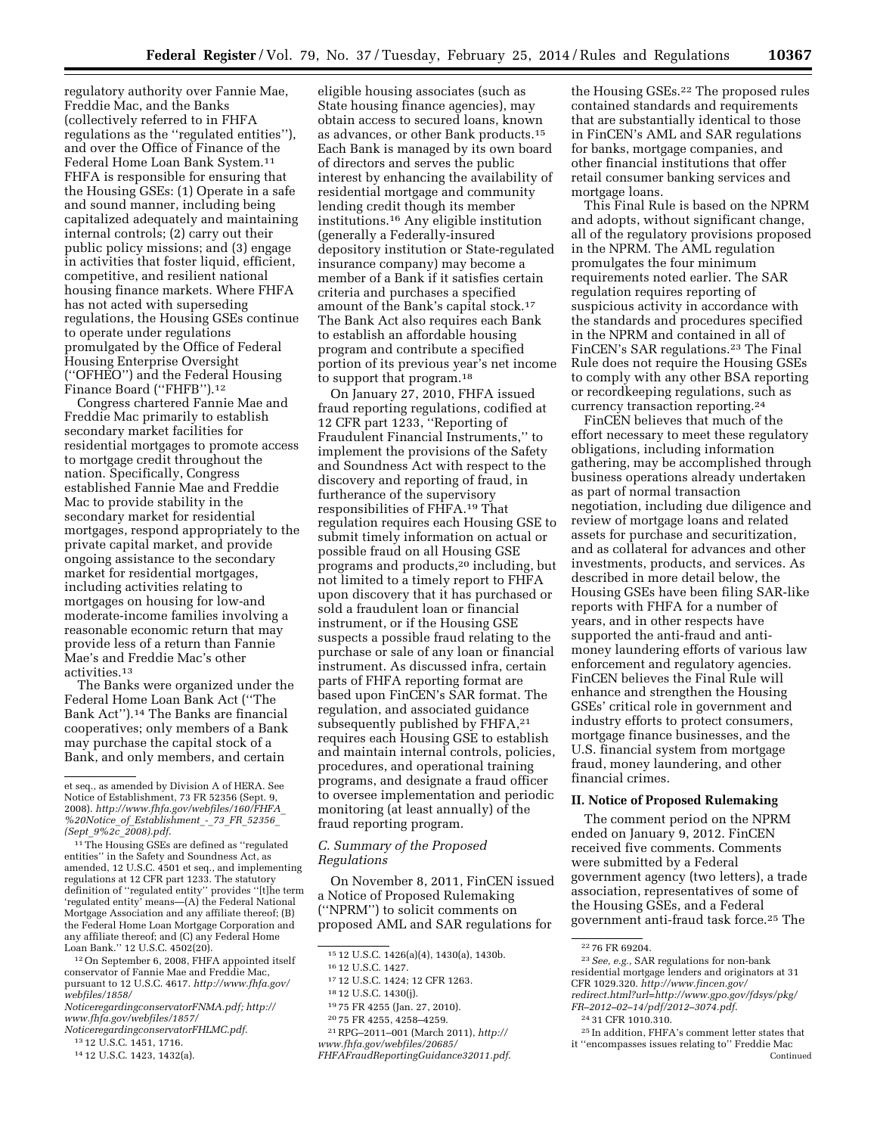regulatory authority over Fannie Mae, Freddie Mac, and the Banks (collectively referred to in FHFA regulations as the ''regulated entities''), and over the Office of Finance of the Federal Home Loan Bank System.11 FHFA is responsible for ensuring that the Housing GSEs: (1) Operate in a safe and sound manner, including being capitalized adequately and maintaining internal controls; (2) carry out their public policy missions; and (3) engage in activities that foster liquid, efficient, competitive, and resilient national housing finance markets. Where FHFA has not acted with superseding regulations, the Housing GSEs continue to operate under regulations promulgated by the Office of Federal Housing Enterprise Oversight (''OFHEO'') and the Federal Housing Finance Board (''FHFB'').12

Congress chartered Fannie Mae and Freddie Mac primarily to establish secondary market facilities for residential mortgages to promote access to mortgage credit throughout the nation. Specifically, Congress established Fannie Mae and Freddie Mac to provide stability in the secondary market for residential mortgages, respond appropriately to the private capital market, and provide ongoing assistance to the secondary market for residential mortgages, including activities relating to mortgages on housing for low-and moderate-income families involving a reasonable economic return that may provide less of a return than Fannie Mae's and Freddie Mac's other activities.13

The Banks were organized under the Federal Home Loan Bank Act (''The Bank Act'').14 The Banks are financial cooperatives; only members of a Bank may purchase the capital stock of a Bank, and only members, and certain

<sup>11</sup> The Housing GSEs are defined as "regulated entities'' in the Safety and Soundness Act, as amended, 12 U.S.C. 4501 et seq., and implementing regulations at 12 CFR part 1233. The statutory definition of ''regulated entity'' provides ''[t]he term 'regulated entity' means—(A) the Federal National Mortgage Association and any affiliate thereof; (B) the Federal Home Loan Mortgage Corporation and any affiliate thereof; and (C) any Federal Home Loan Bank.'' 12 U.S.C. 4502(20).

12On September 6, 2008, FHFA appointed itself conservator of Fannie Mae and Freddie Mac, pursuant to 12 U.S.C. 4617. *[http://www.fhfa.gov/](http://www.fhfa.gov/webfiles/1858/NoticeregardingconservatorFNMA.pdf) [webfiles/1858/](http://www.fhfa.gov/webfiles/1858/NoticeregardingconservatorFNMA.pdf)*

*[NoticeregardingconservatorFNMA.pdf;](http://www.fhfa.gov/webfiles/1858/NoticeregardingconservatorFNMA.pdf) [http://](http://www.fhfa.gov/webfiles/1857/NoticeregardingconservatorFHLMC.pdf) [www.fhfa.gov/webfiles/1857/](http://www.fhfa.gov/webfiles/1857/NoticeregardingconservatorFHLMC.pdf)*

*[NoticeregardingconservatorFHLMC.pdf](http://www.fhfa.gov/webfiles/1857/NoticeregardingconservatorFHLMC.pdf)*.

- 13 12 U.S.C. 1451, 1716.
- 14 12 U.S.C. 1423, 1432(a).

eligible housing associates (such as State housing finance agencies), may obtain access to secured loans, known as advances, or other Bank products.15 Each Bank is managed by its own board of directors and serves the public interest by enhancing the availability of residential mortgage and community lending credit though its member institutions.16 Any eligible institution (generally a Federally-insured depository institution or State-regulated insurance company) may become a member of a Bank if it satisfies certain criteria and purchases a specified amount of the Bank's capital stock.17 The Bank Act also requires each Bank to establish an affordable housing program and contribute a specified portion of its previous year's net income to support that program.<sup>18</sup>

On January 27, 2010, FHFA issued fraud reporting regulations, codified at 12 CFR part 1233, ''Reporting of Fraudulent Financial Instruments,'' to implement the provisions of the Safety and Soundness Act with respect to the discovery and reporting of fraud, in furtherance of the supervisory responsibilities of FHFA.19 That regulation requires each Housing GSE to submit timely information on actual or possible fraud on all Housing GSE programs and products,20 including, but not limited to a timely report to FHFA upon discovery that it has purchased or sold a fraudulent loan or financial instrument, or if the Housing GSE suspects a possible fraud relating to the purchase or sale of any loan or financial instrument. As discussed infra, certain parts of FHFA reporting format are based upon FinCEN's SAR format. The regulation, and associated guidance subsequently published by FHFA,<sup>21</sup> requires each Housing GSE to establish and maintain internal controls, policies, procedures, and operational training programs, and designate a fraud officer to oversee implementation and periodic monitoring (at least annually) of the fraud reporting program.

### *C. Summary of the Proposed Regulations*

On November 8, 2011, FinCEN issued a Notice of Proposed Rulemaking (''NPRM'') to solicit comments on proposed AML and SAR regulations for

- 19 75 FR 4255 (Jan. 27, 2010).
- 20 75 FR 4255, 4258–4259.
- 21RPG–2011–001 (March 2011), *[http://](http://www.fhfa.gov/webfiles/20685/FHFAFraudReportingGuidance32011.pdf)*
- *[www.fhfa.gov/webfiles/20685/](http://www.fhfa.gov/webfiles/20685/FHFAFraudReportingGuidance32011.pdf)*
- *[FHFAFraudReportingGuidance32011.pdf](http://www.fhfa.gov/webfiles/20685/FHFAFraudReportingGuidance32011.pdf)*.

the Housing GSEs.<sup>22</sup> The proposed rules contained standards and requirements that are substantially identical to those in FinCEN's AML and SAR regulations for banks, mortgage companies, and other financial institutions that offer retail consumer banking services and mortgage loans.

This Final Rule is based on the NPRM and adopts, without significant change, all of the regulatory provisions proposed in the NPRM. The AML regulation promulgates the four minimum requirements noted earlier. The SAR regulation requires reporting of suspicious activity in accordance with the standards and procedures specified in the NPRM and contained in all of FinCEN's SAR regulations.23 The Final Rule does not require the Housing GSEs to comply with any other BSA reporting or recordkeeping regulations, such as currency transaction reporting.24

FinCEN believes that much of the effort necessary to meet these regulatory obligations, including information gathering, may be accomplished through business operations already undertaken as part of normal transaction negotiation, including due diligence and review of mortgage loans and related assets for purchase and securitization, and as collateral for advances and other investments, products, and services. As described in more detail below, the Housing GSEs have been filing SAR-like reports with FHFA for a number of years, and in other respects have supported the anti-fraud and antimoney laundering efforts of various law enforcement and regulatory agencies. FinCEN believes the Final Rule will enhance and strengthen the Housing GSEs' critical role in government and industry efforts to protect consumers, mortgage finance businesses, and the U.S. financial system from mortgage fraud, money laundering, and other financial crimes.

## **II. Notice of Proposed Rulemaking**

The comment period on the NPRM ended on January 9, 2012. FinCEN received five comments. Comments were submitted by a Federal government agency (two letters), a trade association, representatives of some of the Housing GSEs, and a Federal government anti-fraud task force.25 The

et seq., as amended by Division A of HERA. See Notice of Establishment, 73 FR 52356 (Sept. 9, 2008). *[http://www.fhfa.gov/webfiles/160/FHFA](http://www.fhfa.gov/webfiles/160/FHFA_%20Notice_of_Establishment_-_73_FR_52356_(Sept_9%2c_2008).pdf)*\_ *%20Notice*\_*of*\_*[Establishment](http://www.fhfa.gov/webfiles/160/FHFA_%20Notice_of_Establishment_-_73_FR_52356_(Sept_9%2c_2008).pdf)*\_*-*\_*73*\_*FR*\_*52356*\_ *(Sept*\_*9%2c*\_*[2008\).pdf](http://www.fhfa.gov/webfiles/160/FHFA_%20Notice_of_Establishment_-_73_FR_52356_(Sept_9%2c_2008).pdf)*.

<sup>15</sup> 12 U.S.C. 1426(a)(4), 1430(a), 1430b.

<sup>16</sup> 12 U.S.C. 1427.

<sup>17</sup> 12 U.S.C. 1424; 12 CFR 1263.

<sup>18</sup> 12 U.S.C. 1430(j).

<sup>22</sup> 76 FR 69204.

<sup>23</sup>*See, e.g.,* SAR regulations for non-bank residential mortgage lenders and originators at 31 CFR 1029.320. *[http://www.fincen.gov/](http://www.fincen.gov/redirect.html?url=) [redirect.html?url=](http://www.fincen.gov/redirect.html?url=)[http://www.gpo.gov/fdsys/pkg/](http://www.gpo.gov/fdsys/pkg/FR-2012-02-14/pdf/2012-3074.pdf) [FR–2012–02–14/pdf/2012–3074.pdf](http://www.gpo.gov/fdsys/pkg/FR-2012-02-14/pdf/2012-3074.pdf)*.

<sup>24</sup> 31 CFR 1010.310.

<sup>25</sup> In addition, FHFA's comment letter states that it ''encompasses issues relating to'' Freddie Mac Continued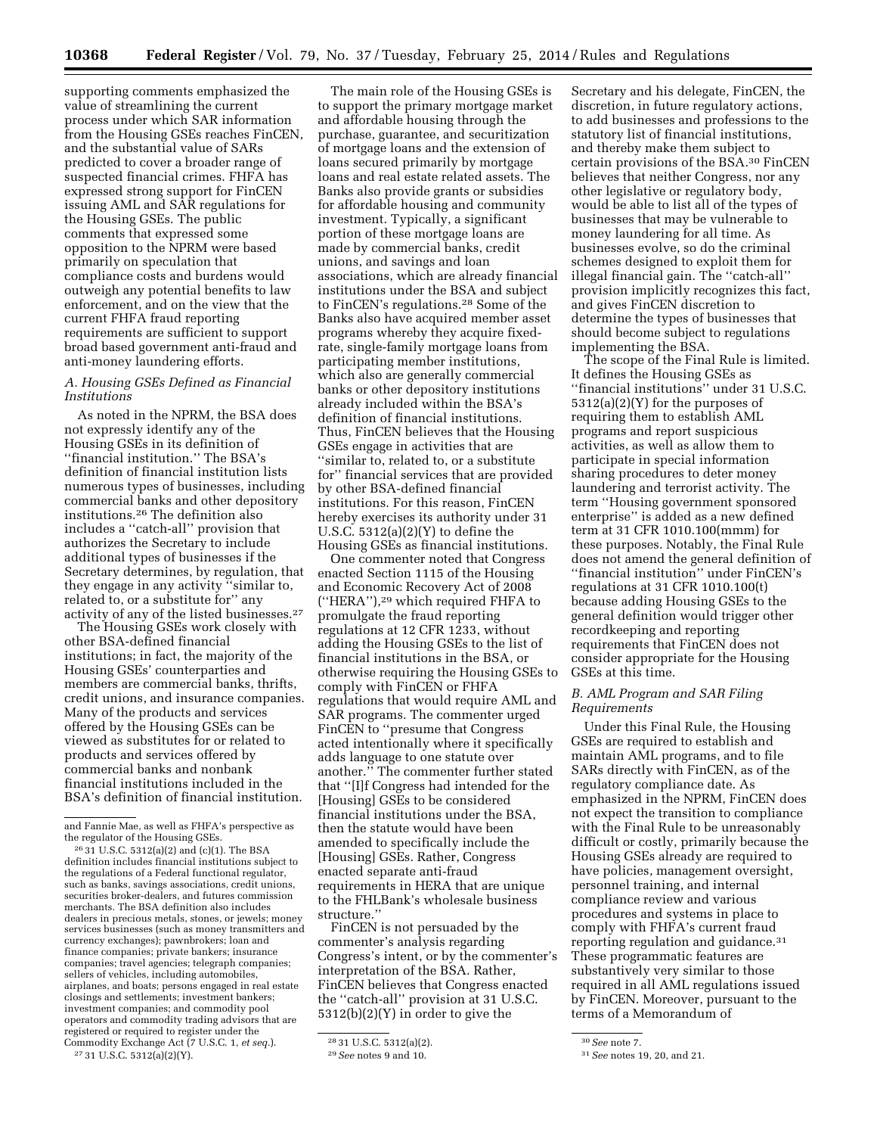supporting comments emphasized the value of streamlining the current process under which SAR information from the Housing GSEs reaches FinCEN, and the substantial value of SARs predicted to cover a broader range of suspected financial crimes. FHFA has expressed strong support for FinCEN issuing AML and SAR regulations for the Housing GSEs. The public comments that expressed some opposition to the NPRM were based primarily on speculation that compliance costs and burdens would outweigh any potential benefits to law enforcement, and on the view that the current FHFA fraud reporting requirements are sufficient to support broad based government anti-fraud and anti-money laundering efforts.

## *A. Housing GSEs Defined as Financial Institutions*

As noted in the NPRM, the BSA does not expressly identify any of the Housing GSEs in its definition of ''financial institution.'' The BSA's definition of financial institution lists numerous types of businesses, including commercial banks and other depository institutions.26 The definition also includes a ''catch-all'' provision that authorizes the Secretary to include additional types of businesses if the Secretary determines, by regulation, that they engage in any activity ''similar to, related to, or a substitute for'' any activity of any of the listed businesses.<sup>27</sup>

The Housing GSEs work closely with other BSA-defined financial institutions; in fact, the majority of the Housing GSEs' counterparties and members are commercial banks, thrifts, credit unions, and insurance companies. Many of the products and services offered by the Housing GSEs can be viewed as substitutes for or related to products and services offered by commercial banks and nonbank financial institutions included in the BSA's definition of financial institution.

26 31 U.S.C. 5312(a)(2) and (c)(1). The BSA definition includes financial institutions subject to the regulations of a Federal functional regulator, such as banks, savings associations, credit unions, securities broker-dealers, and futures commission merchants. The BSA definition also includes dealers in precious metals, stones, or jewels; money services businesses (such as money transmitters and currency exchanges); pawnbrokers; loan and finance companies; private bankers; insurance companies; travel agencies; telegraph companies; sellers of vehicles, including automobiles, airplanes, and boats; persons engaged in real estate closings and settlements; investment bankers; investment companies; and commodity pool operators and commodity trading advisors that are registered or required to register under the Commodity Exchange Act (7 U.S.C. 1, *et seq.*). 27 31 U.S.C. 5312(a)(2)(Y).

The main role of the Housing GSEs is to support the primary mortgage market and affordable housing through the purchase, guarantee, and securitization of mortgage loans and the extension of loans secured primarily by mortgage loans and real estate related assets. The Banks also provide grants or subsidies for affordable housing and community investment. Typically, a significant portion of these mortgage loans are made by commercial banks, credit unions, and savings and loan associations, which are already financial institutions under the BSA and subject to FinCEN's regulations.28 Some of the Banks also have acquired member asset programs whereby they acquire fixedrate, single-family mortgage loans from participating member institutions, which also are generally commercial banks or other depository institutions already included within the BSA's definition of financial institutions. Thus, FinCEN believes that the Housing GSEs engage in activities that are ''similar to, related to, or a substitute for'' financial services that are provided by other BSA-defined financial institutions. For this reason, FinCEN hereby exercises its authority under 31 U.S.C.  $5312(a)(2)(Y)$  to define the Housing GSEs as financial institutions.

One commenter noted that Congress enacted Section 1115 of the Housing and Economic Recovery Act of 2008 (''HERA''),29 which required FHFA to promulgate the fraud reporting regulations at 12 CFR 1233, without adding the Housing GSEs to the list of financial institutions in the BSA, or otherwise requiring the Housing GSEs to comply with FinCEN or FHFA regulations that would require AML and SAR programs. The commenter urged FinCEN to ''presume that Congress acted intentionally where it specifically adds language to one statute over another.'' The commenter further stated that ''[I]f Congress had intended for the [Housing] GSEs to be considered financial institutions under the BSA, then the statute would have been amended to specifically include the [Housing] GSEs. Rather, Congress enacted separate anti-fraud requirements in HERA that are unique to the FHLBank's wholesale business structure.''

FinCEN is not persuaded by the commenter's analysis regarding Congress's intent, or by the commenter's interpretation of the BSA. Rather, FinCEN believes that Congress enacted the ''catch-all'' provision at 31 U.S.C. 5312(b)(2)(Y) in order to give the

Secretary and his delegate, FinCEN, the discretion, in future regulatory actions, to add businesses and professions to the statutory list of financial institutions, and thereby make them subject to certain provisions of the BSA.30 FinCEN believes that neither Congress, nor any other legislative or regulatory body, would be able to list all of the types of businesses that may be vulnerable to money laundering for all time. As businesses evolve, so do the criminal schemes designed to exploit them for illegal financial gain. The ''catch-all'' provision implicitly recognizes this fact, and gives FinCEN discretion to determine the types of businesses that should become subject to regulations implementing the BSA.

The scope of the Final Rule is limited. It defines the Housing GSEs as ''financial institutions'' under 31 U.S.C. 5312(a)(2)(Y) for the purposes of requiring them to establish AML programs and report suspicious activities, as well as allow them to participate in special information sharing procedures to deter money laundering and terrorist activity. The term ''Housing government sponsored enterprise'' is added as a new defined term at 31 CFR 1010.100(mmm) for these purposes. Notably, the Final Rule does not amend the general definition of ''financial institution'' under FinCEN's regulations at 31 CFR 1010.100(t) because adding Housing GSEs to the general definition would trigger other recordkeeping and reporting requirements that FinCEN does not consider appropriate for the Housing GSEs at this time.

## *B. AML Program and SAR Filing Requirements*

Under this Final Rule, the Housing GSEs are required to establish and maintain AML programs, and to file SARs directly with FinCEN, as of the regulatory compliance date. As emphasized in the NPRM, FinCEN does not expect the transition to compliance with the Final Rule to be unreasonably difficult or costly, primarily because the Housing GSEs already are required to have policies, management oversight, personnel training, and internal compliance review and various procedures and systems in place to comply with FHFA's current fraud reporting regulation and guidance.31 These programmatic features are substantively very similar to those required in all AML regulations issued by FinCEN. Moreover, pursuant to the terms of a Memorandum of

and Fannie Mae, as well as FHFA's perspective as the regulator of the Housing GSEs.

<sup>28</sup> 31 U.S.C. 5312(a)(2).

<sup>29</sup>*See* notes 9 and 10.

<sup>30</sup>*See* note 7.

<sup>31</sup>*See* notes 19, 20, and 21.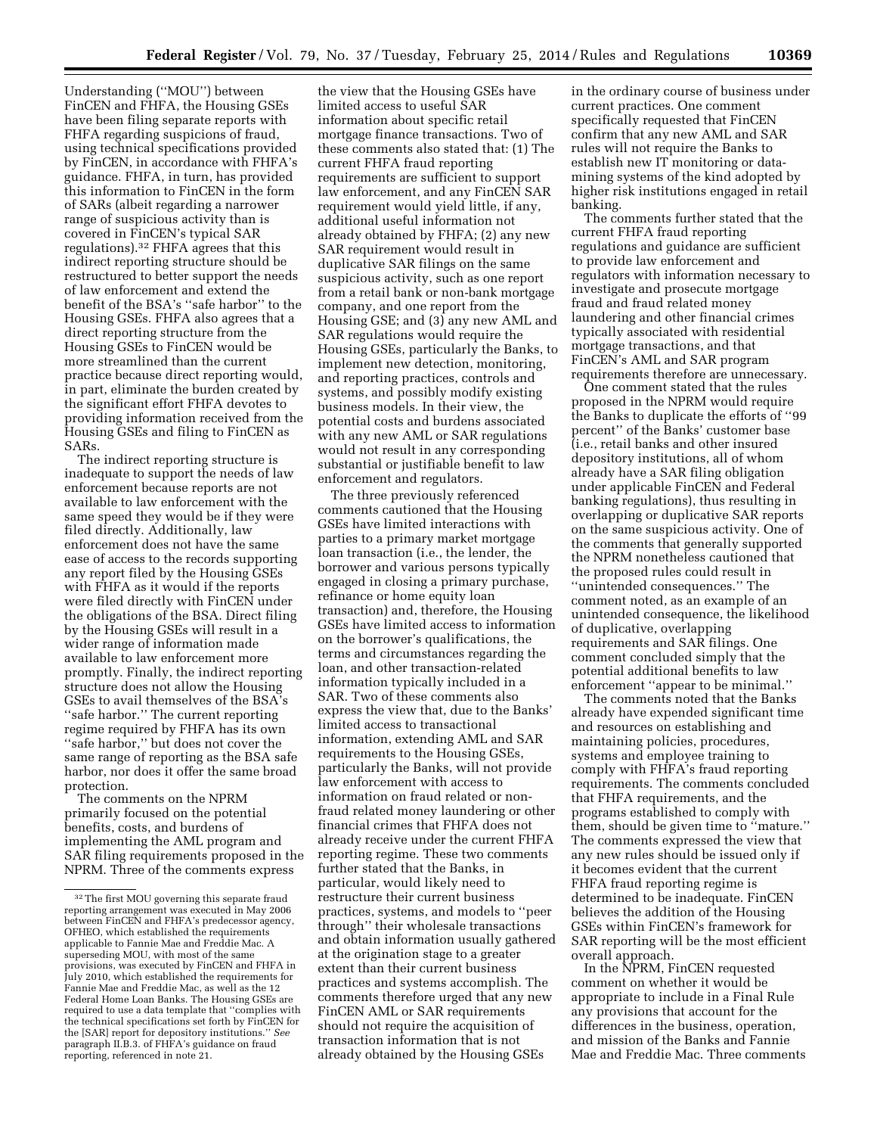Understanding (''MOU'') between FinCEN and FHFA, the Housing GSEs have been filing separate reports with FHFA regarding suspicions of fraud, using technical specifications provided by FinCEN, in accordance with FHFA's guidance. FHFA, in turn, has provided this information to FinCEN in the form of SARs (albeit regarding a narrower range of suspicious activity than is covered in FinCEN's typical SAR regulations).32 FHFA agrees that this indirect reporting structure should be restructured to better support the needs of law enforcement and extend the benefit of the BSA's ''safe harbor'' to the Housing GSEs. FHFA also agrees that a direct reporting structure from the Housing GSEs to FinCEN would be more streamlined than the current practice because direct reporting would, in part, eliminate the burden created by the significant effort FHFA devotes to providing information received from the Housing GSEs and filing to FinCEN as SARs.

The indirect reporting structure is inadequate to support the needs of law enforcement because reports are not available to law enforcement with the same speed they would be if they were filed directly. Additionally, law enforcement does not have the same ease of access to the records supporting any report filed by the Housing GSEs with FHFA as it would if the reports were filed directly with FinCEN under the obligations of the BSA. Direct filing by the Housing GSEs will result in a wider range of information made available to law enforcement more promptly. Finally, the indirect reporting structure does not allow the Housing GSEs to avail themselves of the BSA's ''safe harbor.'' The current reporting regime required by FHFA has its own ''safe harbor,'' but does not cover the same range of reporting as the BSA safe harbor, nor does it offer the same broad protection.

The comments on the NPRM primarily focused on the potential benefits, costs, and burdens of implementing the AML program and SAR filing requirements proposed in the NPRM. Three of the comments express

the view that the Housing GSEs have limited access to useful SAR information about specific retail mortgage finance transactions. Two of these comments also stated that: (1) The current FHFA fraud reporting requirements are sufficient to support law enforcement, and any FinCEN SAR requirement would yield little, if any, additional useful information not already obtained by FHFA; (2) any new SAR requirement would result in duplicative SAR filings on the same suspicious activity, such as one report from a retail bank or non-bank mortgage company, and one report from the Housing GSE; and (3) any new AML and SAR regulations would require the Housing GSEs, particularly the Banks, to implement new detection, monitoring, and reporting practices, controls and systems, and possibly modify existing business models. In their view, the potential costs and burdens associated with any new AML or SAR regulations would not result in any corresponding substantial or justifiable benefit to law enforcement and regulators.

The three previously referenced comments cautioned that the Housing GSEs have limited interactions with parties to a primary market mortgage loan transaction (i.e., the lender, the borrower and various persons typically engaged in closing a primary purchase, refinance or home equity loan transaction) and, therefore, the Housing GSEs have limited access to information on the borrower's qualifications, the terms and circumstances regarding the loan, and other transaction-related information typically included in a SAR. Two of these comments also express the view that, due to the Banks' limited access to transactional information, extending AML and SAR requirements to the Housing GSEs, particularly the Banks, will not provide law enforcement with access to information on fraud related or nonfraud related money laundering or other financial crimes that FHFA does not already receive under the current FHFA reporting regime. These two comments further stated that the Banks, in particular, would likely need to restructure their current business practices, systems, and models to ''peer through'' their wholesale transactions and obtain information usually gathered at the origination stage to a greater extent than their current business practices and systems accomplish. The comments therefore urged that any new FinCEN AML or SAR requirements should not require the acquisition of transaction information that is not already obtained by the Housing GSEs

in the ordinary course of business under current practices. One comment specifically requested that FinCEN confirm that any new AML and SAR rules will not require the Banks to establish new IT monitoring or datamining systems of the kind adopted by higher risk institutions engaged in retail banking.

The comments further stated that the current FHFA fraud reporting regulations and guidance are sufficient to provide law enforcement and regulators with information necessary to investigate and prosecute mortgage fraud and fraud related money laundering and other financial crimes typically associated with residential mortgage transactions, and that FinCEN's AML and SAR program requirements therefore are unnecessary.

One comment stated that the rules proposed in the NPRM would require the Banks to duplicate the efforts of ''99 percent'' of the Banks' customer base (i.e., retail banks and other insured depository institutions, all of whom already have a SAR filing obligation under applicable FinCEN and Federal banking regulations), thus resulting in overlapping or duplicative SAR reports on the same suspicious activity. One of the comments that generally supported the NPRM nonetheless cautioned that the proposed rules could result in ''unintended consequences.'' The comment noted, as an example of an unintended consequence, the likelihood of duplicative, overlapping requirements and SAR filings. One comment concluded simply that the potential additional benefits to law enforcement ''appear to be minimal.''

The comments noted that the Banks already have expended significant time and resources on establishing and maintaining policies, procedures, systems and employee training to comply with FHFA's fraud reporting requirements. The comments concluded that FHFA requirements, and the programs established to comply with them, should be given time to ''mature.'' The comments expressed the view that any new rules should be issued only if it becomes evident that the current FHFA fraud reporting regime is determined to be inadequate. FinCEN believes the addition of the Housing GSEs within FinCEN's framework for SAR reporting will be the most efficient overall approach.

In the NPRM, FinCEN requested comment on whether it would be appropriate to include in a Final Rule any provisions that account for the differences in the business, operation, and mission of the Banks and Fannie Mae and Freddie Mac. Three comments

 $^{\rm 32}\rm{The}$  first MOU governing this separate fraud reporting arrangement was executed in May 2006 between FinCEN and FHFA's predecessor agency, OFHEO, which established the requirements applicable to Fannie Mae and Freddie Mac. A superseding MOU, with most of the same provisions, was executed by FinCEN and FHFA in July 2010, which established the requirements for Fannie Mae and Freddie Mac, as well as the 12 Federal Home Loan Banks. The Housing GSEs are required to use a data template that ''complies with the technical specifications set forth by FinCEN for the [SAR] report for depository institutions.'' *See*  paragraph II.B.3. of FHFA's guidance on fraud reporting, referenced in note 21.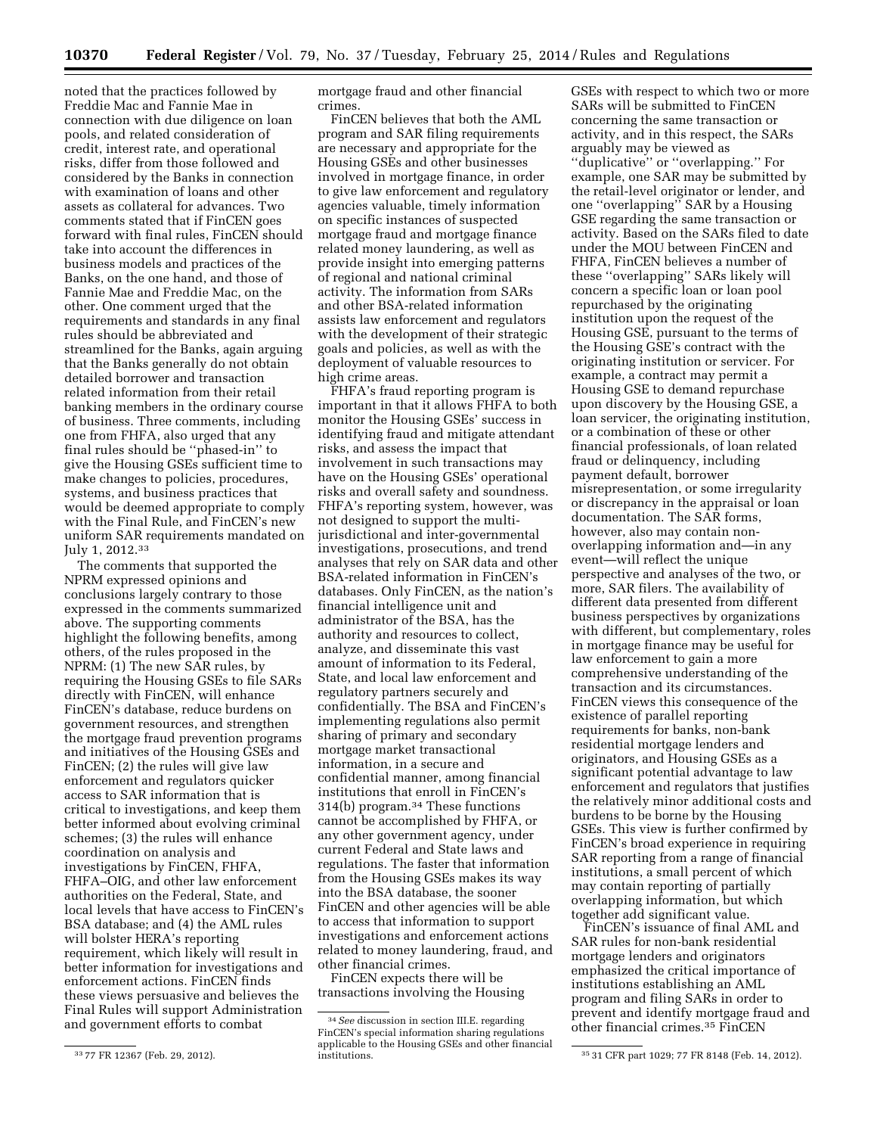noted that the practices followed by Freddie Mac and Fannie Mae in connection with due diligence on loan pools, and related consideration of credit, interest rate, and operational risks, differ from those followed and considered by the Banks in connection with examination of loans and other assets as collateral for advances. Two comments stated that if FinCEN goes forward with final rules, FinCEN should take into account the differences in business models and practices of the Banks, on the one hand, and those of Fannie Mae and Freddie Mac, on the other. One comment urged that the requirements and standards in any final rules should be abbreviated and streamlined for the Banks, again arguing that the Banks generally do not obtain detailed borrower and transaction related information from their retail banking members in the ordinary course of business. Three comments, including one from FHFA, also urged that any final rules should be ''phased-in'' to give the Housing GSEs sufficient time to make changes to policies, procedures, systems, and business practices that would be deemed appropriate to comply with the Final Rule, and FinCEN's new uniform SAR requirements mandated on July 1, 2012.33

The comments that supported the NPRM expressed opinions and conclusions largely contrary to those expressed in the comments summarized above. The supporting comments highlight the following benefits, among others, of the rules proposed in the NPRM: (1) The new SAR rules, by requiring the Housing GSEs to file SARs directly with FinCEN, will enhance FinCEN's database, reduce burdens on government resources, and strengthen the mortgage fraud prevention programs and initiatives of the Housing GSEs and FinCEN; (2) the rules will give law enforcement and regulators quicker access to SAR information that is critical to investigations, and keep them better informed about evolving criminal schemes; (3) the rules will enhance coordination on analysis and investigations by FinCEN, FHFA, FHFA–OIG, and other law enforcement authorities on the Federal, State, and local levels that have access to FinCEN's BSA database; and (4) the AML rules will bolster HERA's reporting requirement, which likely will result in better information for investigations and enforcement actions. FinCEN finds these views persuasive and believes the Final Rules will support Administration and government efforts to combat

mortgage fraud and other financial crimes.

FinCEN believes that both the AML program and SAR filing requirements are necessary and appropriate for the Housing GSEs and other businesses involved in mortgage finance, in order to give law enforcement and regulatory agencies valuable, timely information on specific instances of suspected mortgage fraud and mortgage finance related money laundering, as well as provide insight into emerging patterns of regional and national criminal activity. The information from SARs and other BSA-related information assists law enforcement and regulators with the development of their strategic goals and policies, as well as with the deployment of valuable resources to high crime areas.

FHFA's fraud reporting program is important in that it allows FHFA to both monitor the Housing GSEs' success in identifying fraud and mitigate attendant risks, and assess the impact that involvement in such transactions may have on the Housing GSEs' operational risks and overall safety and soundness. FHFA's reporting system, however, was not designed to support the multijurisdictional and inter-governmental investigations, prosecutions, and trend analyses that rely on SAR data and other BSA-related information in FinCEN's databases. Only FinCEN, as the nation's financial intelligence unit and administrator of the BSA, has the authority and resources to collect, analyze, and disseminate this vast amount of information to its Federal, State, and local law enforcement and regulatory partners securely and confidentially. The BSA and FinCEN's implementing regulations also permit sharing of primary and secondary mortgage market transactional information, in a secure and confidential manner, among financial institutions that enroll in FinCEN's 314(b) program.34 These functions cannot be accomplished by FHFA, or any other government agency, under current Federal and State laws and regulations. The faster that information from the Housing GSEs makes its way into the BSA database, the sooner FinCEN and other agencies will be able to access that information to support investigations and enforcement actions related to money laundering, fraud, and other financial crimes.

FinCEN expects there will be transactions involving the Housing GSEs with respect to which two or more SARs will be submitted to FinCEN concerning the same transaction or activity, and in this respect, the SARs arguably may be viewed as ''duplicative'' or ''overlapping.'' For example, one SAR may be submitted by the retail-level originator or lender, and one ''overlapping'' SAR by a Housing GSE regarding the same transaction or activity. Based on the SARs filed to date under the MOU between FinCEN and FHFA, FinCEN believes a number of these ''overlapping'' SARs likely will concern a specific loan or loan pool repurchased by the originating institution upon the request of the Housing GSE, pursuant to the terms of the Housing GSE's contract with the originating institution or servicer. For example, a contract may permit a Housing GSE to demand repurchase upon discovery by the Housing GSE, a loan servicer, the originating institution, or a combination of these or other financial professionals, of loan related fraud or delinquency, including payment default, borrower misrepresentation, or some irregularity or discrepancy in the appraisal or loan documentation. The SAR forms, however, also may contain nonoverlapping information and—in any event—will reflect the unique perspective and analyses of the two, or more, SAR filers. The availability of different data presented from different business perspectives by organizations with different, but complementary, roles in mortgage finance may be useful for law enforcement to gain a more comprehensive understanding of the transaction and its circumstances. FinCEN views this consequence of the existence of parallel reporting requirements for banks, non-bank residential mortgage lenders and originators, and Housing GSEs as a significant potential advantage to law enforcement and regulators that justifies the relatively minor additional costs and burdens to be borne by the Housing GSEs. This view is further confirmed by FinCEN's broad experience in requiring SAR reporting from a range of financial institutions, a small percent of which may contain reporting of partially overlapping information, but which together add significant value.

FinCEN's issuance of final AML and SAR rules for non-bank residential mortgage lenders and originators emphasized the critical importance of institutions establishing an AML program and filing SARs in order to prevent and identify mortgage fraud and other financial crimes.35 FinCEN

<sup>33</sup> 77 FR 12367 (Feb. 29, 2012).

<sup>34</sup>*See* discussion in section III.E. regarding FinCEN's special information sharing regulations applicable to the Housing GSEs and other financial

<sup>35 31</sup> CFR part 1029; 77 FR 8148 (Feb. 14, 2012).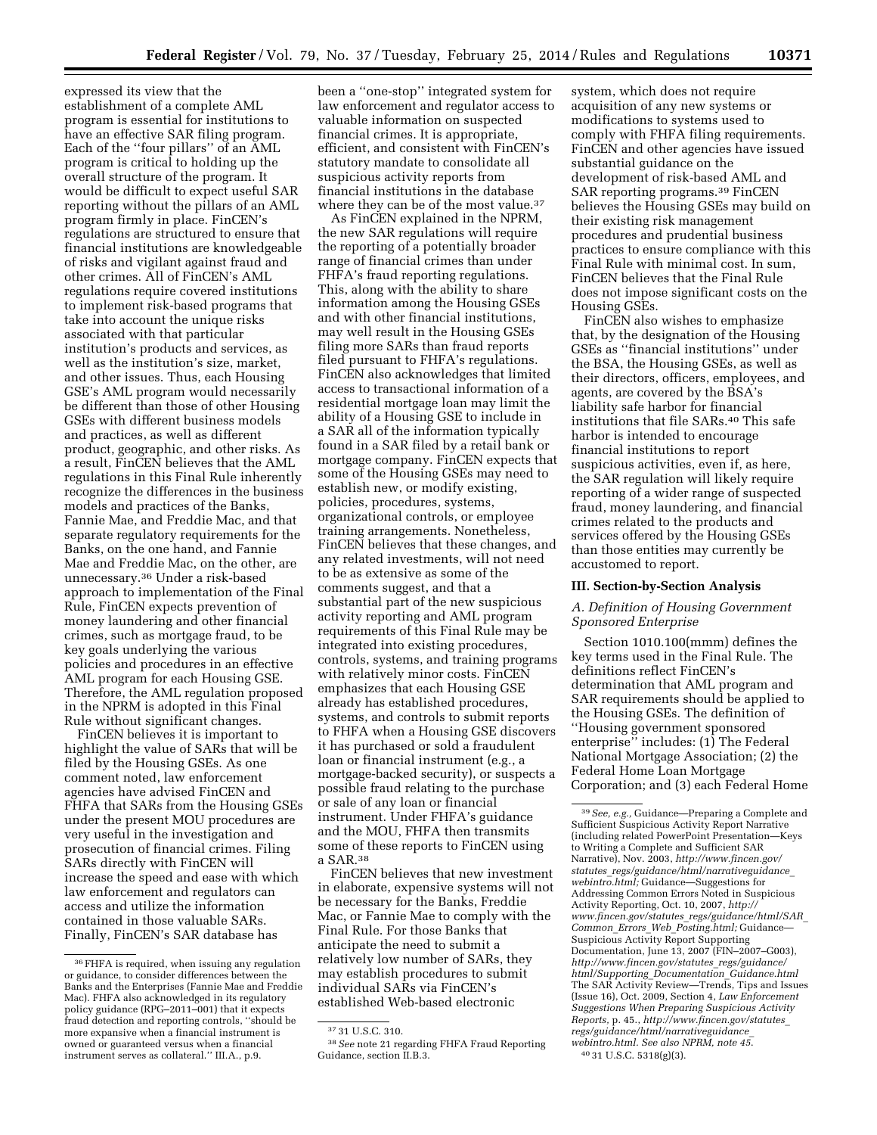expressed its view that the establishment of a complete AML program is essential for institutions to have an effective SAR filing program. Each of the ''four pillars'' of an AML program is critical to holding up the overall structure of the program. It would be difficult to expect useful SAR reporting without the pillars of an AML program firmly in place. FinCEN's regulations are structured to ensure that financial institutions are knowledgeable of risks and vigilant against fraud and other crimes. All of FinCEN's AML regulations require covered institutions to implement risk-based programs that take into account the unique risks associated with that particular institution's products and services, as well as the institution's size, market, and other issues. Thus, each Housing GSE's AML program would necessarily be different than those of other Housing GSEs with different business models and practices, as well as different product, geographic, and other risks. As a result, FinCEN believes that the AML regulations in this Final Rule inherently recognize the differences in the business models and practices of the Banks, Fannie Mae, and Freddie Mac, and that separate regulatory requirements for the Banks, on the one hand, and Fannie Mae and Freddie Mac, on the other, are unnecessary.36 Under a risk-based approach to implementation of the Final Rule, FinCEN expects prevention of money laundering and other financial crimes, such as mortgage fraud, to be key goals underlying the various policies and procedures in an effective AML program for each Housing GSE. Therefore, the AML regulation proposed in the NPRM is adopted in this Final Rule without significant changes.

FinCEN believes it is important to highlight the value of SARs that will be filed by the Housing GSEs. As one comment noted, law enforcement agencies have advised FinCEN and FHFA that SARs from the Housing GSEs under the present MOU procedures are very useful in the investigation and prosecution of financial crimes. Filing SARs directly with FinCEN will increase the speed and ease with which law enforcement and regulators can access and utilize the information contained in those valuable SARs. Finally, FinCEN's SAR database has

been a ''one-stop'' integrated system for law enforcement and regulator access to valuable information on suspected financial crimes. It is appropriate, efficient, and consistent with FinCEN's statutory mandate to consolidate all suspicious activity reports from financial institutions in the database where they can be of the most value.<sup>37</sup>

As FinCEN explained in the NPRM, the new SAR regulations will require the reporting of a potentially broader range of financial crimes than under FHFA's fraud reporting regulations. This, along with the ability to share information among the Housing GSEs and with other financial institutions, may well result in the Housing GSEs filing more SARs than fraud reports filed pursuant to FHFA's regulations. FinCEN also acknowledges that limited access to transactional information of a residential mortgage loan may limit the ability of a Housing GSE to include in a SAR all of the information typically found in a SAR filed by a retail bank or mortgage company. FinCEN expects that some of the Housing GSEs may need to establish new, or modify existing, policies, procedures, systems, organizational controls, or employee training arrangements. Nonetheless, FinCEN believes that these changes, and any related investments, will not need to be as extensive as some of the comments suggest, and that a substantial part of the new suspicious activity reporting and AML program requirements of this Final Rule may be integrated into existing procedures, controls, systems, and training programs with relatively minor costs. FinCEN emphasizes that each Housing GSE already has established procedures, systems, and controls to submit reports to FHFA when a Housing GSE discovers it has purchased or sold a fraudulent loan or financial instrument (e.g., a mortgage-backed security), or suspects a possible fraud relating to the purchase or sale of any loan or financial instrument. Under FHFA's guidance and the MOU, FHFA then transmits some of these reports to FinCEN using a SAR.38

FinCEN believes that new investment in elaborate, expensive systems will not be necessary for the Banks, Freddie Mac, or Fannie Mae to comply with the Final Rule. For those Banks that anticipate the need to submit a relatively low number of SARs, they may establish procedures to submit individual SARs via FinCEN's established Web-based electronic

system, which does not require acquisition of any new systems or modifications to systems used to comply with FHFA filing requirements. FinCEN and other agencies have issued substantial guidance on the development of risk-based AML and SAR reporting programs.39 FinCEN believes the Housing GSEs may build on their existing risk management procedures and prudential business practices to ensure compliance with this Final Rule with minimal cost. In sum, FinCEN believes that the Final Rule does not impose significant costs on the Housing GSEs.

FinCEN also wishes to emphasize that, by the designation of the Housing GSEs as ''financial institutions'' under the BSA, the Housing GSEs, as well as their directors, officers, employees, and agents, are covered by the BSA's liability safe harbor for financial institutions that file SARs.40 This safe harbor is intended to encourage financial institutions to report suspicious activities, even if, as here, the SAR regulation will likely require reporting of a wider range of suspected fraud, money laundering, and financial crimes related to the products and services offered by the Housing GSEs than those entities may currently be accustomed to report.

## **III. Section-by-Section Analysis**

## *A. Definition of Housing Government Sponsored Enterprise*

Section 1010.100(mmm) defines the key terms used in the Final Rule. The definitions reflect FinCEN's determination that AML program and SAR requirements should be applied to the Housing GSEs. The definition of ''Housing government sponsored enterprise'' includes: (1) The Federal National Mortgage Association; (2) the Federal Home Loan Mortgage Corporation; and (3) each Federal Home

<sup>36</sup>FHFA is required, when issuing any regulation or guidance, to consider differences between the Banks and the Enterprises (Fannie Mae and Freddie Mac). FHFA also acknowledged in its regulatory policy guidance (RPG–2011–001) that it expects fraud detection and reporting controls, ''should be more expansive when a financial instrument is owned or guaranteed versus when a financial instrument serves as collateral.'' III.A., p.9.

<sup>37</sup> 31 U.S.C. 310.

<sup>38</sup>*See* note 21 regarding FHFA Fraud Reporting Guidance, section II.B.3.

<sup>39</sup>*See, e.g.,* Guidance—Preparing a Complete and Sufficient Suspicious Activity Report Narrative (including related PowerPoint Presentation—Keys to Writing a Complete and Sufficient SAR Narrative), Nov. 2003, *[http://www.fincen.gov/](http://www.fincen.gov/statutes_regs/guidance/html/narrativeguidance_webintro.html) statutes*\_*[regs/guidance/html/narrativeguidance](http://www.fincen.gov/statutes_regs/guidance/html/narrativeguidance_webintro.html)*\_ *[webintro.html;](http://www.fincen.gov/statutes_regs/guidance/html/narrativeguidance_webintro.html)* Guidance—Suggestions for Addressing Common Errors Noted in Suspicious Activity Reporting, Oct. 10, 2007, *[http://](http://www.fincen.gov/statutes_regs/guidance/html/SAR_Common_Errors_Web_Posting.html) www.fincen.gov/statutes*\_*[regs/guidance/html/SAR](http://www.fincen.gov/statutes_regs/guidance/html/SAR_Common_Errors_Web_Posting.html)*\_ *Common*\_*Errors*\_*Web*\_*[Posting.html;](http://www.fincen.gov/statutes_regs/guidance/html/SAR_Common_Errors_Web_Posting.html)* Guidance— Suspicious Activity Report Supporting Documentation, June 13, 2007 (FIN–2007–G003), *[http://www.fincen.gov/statutes](http://www.fincen.gov/statutes_regs/guidance/html/Supporting_Documentation_Guidance.html)*\_*regs/guidance/ [html/Supporting](http://www.fincen.gov/statutes_regs/guidance/html/Supporting_Documentation_Guidance.html)*\_*Documentation*\_*Guidance.html*  The SAR Activity Review—Trends, Tips and Issues (Issue 16), Oct. 2009, Section 4, *Law Enforcement Suggestions When Preparing Suspicious Activity Reports,* p. 45., *[http://www.fincen.gov/statutes](http://www.fincen.gov/statutes_regs/guidance/html/narrativeguidance_webintro.html)*\_ *[regs/guidance/html/narrativeguidance](http://www.fincen.gov/statutes_regs/guidance/html/narrativeguidance_webintro.html)*\_ *[webintro.html.](http://www.fincen.gov/statutes_regs/guidance/html/narrativeguidance_webintro.html) See also NPRM, note 45*. 40 31 U.S.C. 5318(g)(3).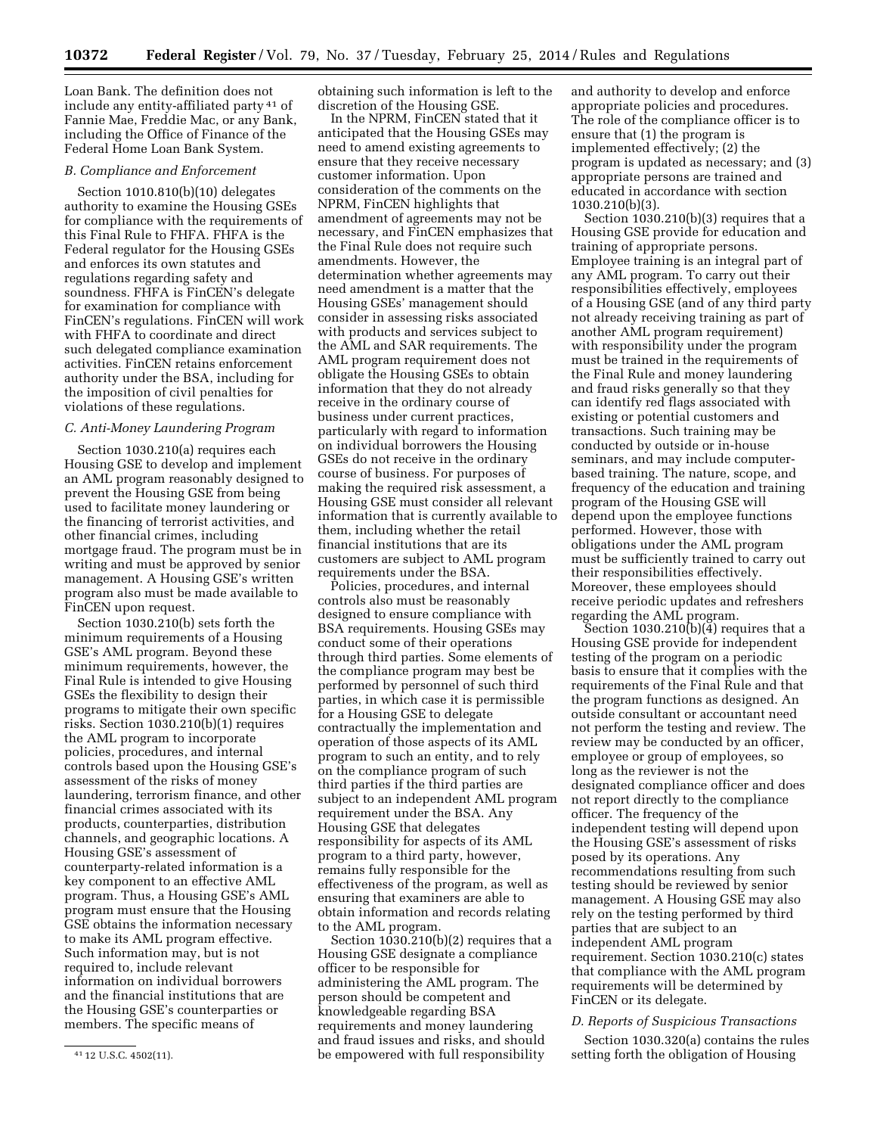Loan Bank. The definition does not include any entity-affiliated party 41 of Fannie Mae, Freddie Mac, or any Bank, including the Office of Finance of the Federal Home Loan Bank System.

## *B. Compliance and Enforcement*

Section 1010.810(b)(10) delegates authority to examine the Housing GSEs for compliance with the requirements of this Final Rule to FHFA. FHFA is the Federal regulator for the Housing GSEs and enforces its own statutes and regulations regarding safety and soundness. FHFA is FinCEN's delegate for examination for compliance with FinCEN's regulations. FinCEN will work with FHFA to coordinate and direct such delegated compliance examination activities. FinCEN retains enforcement authority under the BSA, including for the imposition of civil penalties for violations of these regulations.

### *C. Anti-Money Laundering Program*

Section 1030.210(a) requires each Housing GSE to develop and implement an AML program reasonably designed to prevent the Housing GSE from being used to facilitate money laundering or the financing of terrorist activities, and other financial crimes, including mortgage fraud. The program must be in writing and must be approved by senior management. A Housing GSE's written program also must be made available to FinCEN upon request.

Section 1030.210(b) sets forth the minimum requirements of a Housing GSE's AML program. Beyond these minimum requirements, however, the Final Rule is intended to give Housing GSEs the flexibility to design their programs to mitigate their own specific risks. Section 1030.210(b)(1) requires the AML program to incorporate policies, procedures, and internal controls based upon the Housing GSE's assessment of the risks of money laundering, terrorism finance, and other financial crimes associated with its products, counterparties, distribution channels, and geographic locations. A Housing GSE's assessment of counterparty-related information is a key component to an effective AML program. Thus, a Housing GSE's AML program must ensure that the Housing GSE obtains the information necessary to make its AML program effective. Such information may, but is not required to, include relevant information on individual borrowers and the financial institutions that are the Housing GSE's counterparties or members. The specific means of

obtaining such information is left to the discretion of the Housing GSE.

In the NPRM, FinCEN stated that it anticipated that the Housing GSEs may need to amend existing agreements to ensure that they receive necessary customer information. Upon consideration of the comments on the NPRM, FinCEN highlights that amendment of agreements may not be necessary, and FinCEN emphasizes that the Final Rule does not require such amendments. However, the determination whether agreements may need amendment is a matter that the Housing GSEs' management should consider in assessing risks associated with products and services subject to the AML and SAR requirements. The AML program requirement does not obligate the Housing GSEs to obtain information that they do not already receive in the ordinary course of business under current practices, particularly with regard to information on individual borrowers the Housing GSEs do not receive in the ordinary course of business. For purposes of making the required risk assessment, a Housing GSE must consider all relevant information that is currently available to them, including whether the retail financial institutions that are its customers are subject to AML program requirements under the BSA.

Policies, procedures, and internal controls also must be reasonably designed to ensure compliance with BSA requirements. Housing GSEs may conduct some of their operations through third parties. Some elements of the compliance program may best be performed by personnel of such third parties, in which case it is permissible for a Housing GSE to delegate contractually the implementation and operation of those aspects of its AML program to such an entity, and to rely on the compliance program of such third parties if the third parties are subject to an independent AML program requirement under the BSA. Any Housing GSE that delegates responsibility for aspects of its AML program to a third party, however, remains fully responsible for the effectiveness of the program, as well as ensuring that examiners are able to obtain information and records relating to the AML program.

Section  $1030.210(b)(2)$  requires that a Housing GSE designate a compliance officer to be responsible for administering the AML program. The person should be competent and knowledgeable regarding BSA requirements and money laundering and fraud issues and risks, and should be empowered with full responsibility

and authority to develop and enforce appropriate policies and procedures. The role of the compliance officer is to ensure that (1) the program is implemented effectively; (2) the program is updated as necessary; and (3) appropriate persons are trained and educated in accordance with section 1030.210(b)(3).

Section 1030.210(b)(3) requires that a Housing GSE provide for education and training of appropriate persons. Employee training is an integral part of any AML program. To carry out their responsibilities effectively, employees of a Housing GSE (and of any third party not already receiving training as part of another AML program requirement) with responsibility under the program must be trained in the requirements of the Final Rule and money laundering and fraud risks generally so that they can identify red flags associated with existing or potential customers and transactions. Such training may be conducted by outside or in-house seminars, and may include computerbased training. The nature, scope, and frequency of the education and training program of the Housing GSE will depend upon the employee functions performed. However, those with obligations under the AML program must be sufficiently trained to carry out their responsibilities effectively. Moreover, these employees should receive periodic updates and refreshers regarding the AML program.

Section 1030.210(b) $\left(4\right)$  requires that a Housing GSE provide for independent testing of the program on a periodic basis to ensure that it complies with the requirements of the Final Rule and that the program functions as designed. An outside consultant or accountant need not perform the testing and review. The review may be conducted by an officer, employee or group of employees, so long as the reviewer is not the designated compliance officer and does not report directly to the compliance officer. The frequency of the independent testing will depend upon the Housing GSE's assessment of risks posed by its operations. Any recommendations resulting from such testing should be reviewed by senior management. A Housing GSE may also rely on the testing performed by third parties that are subject to an independent AML program requirement. Section 1030.210(c) states that compliance with the AML program requirements will be determined by FinCEN or its delegate.

### *D. Reports of Suspicious Transactions*

Section 1030.320(a) contains the rules setting forth the obligation of Housing

<sup>41</sup> 12 U.S.C. 4502(11).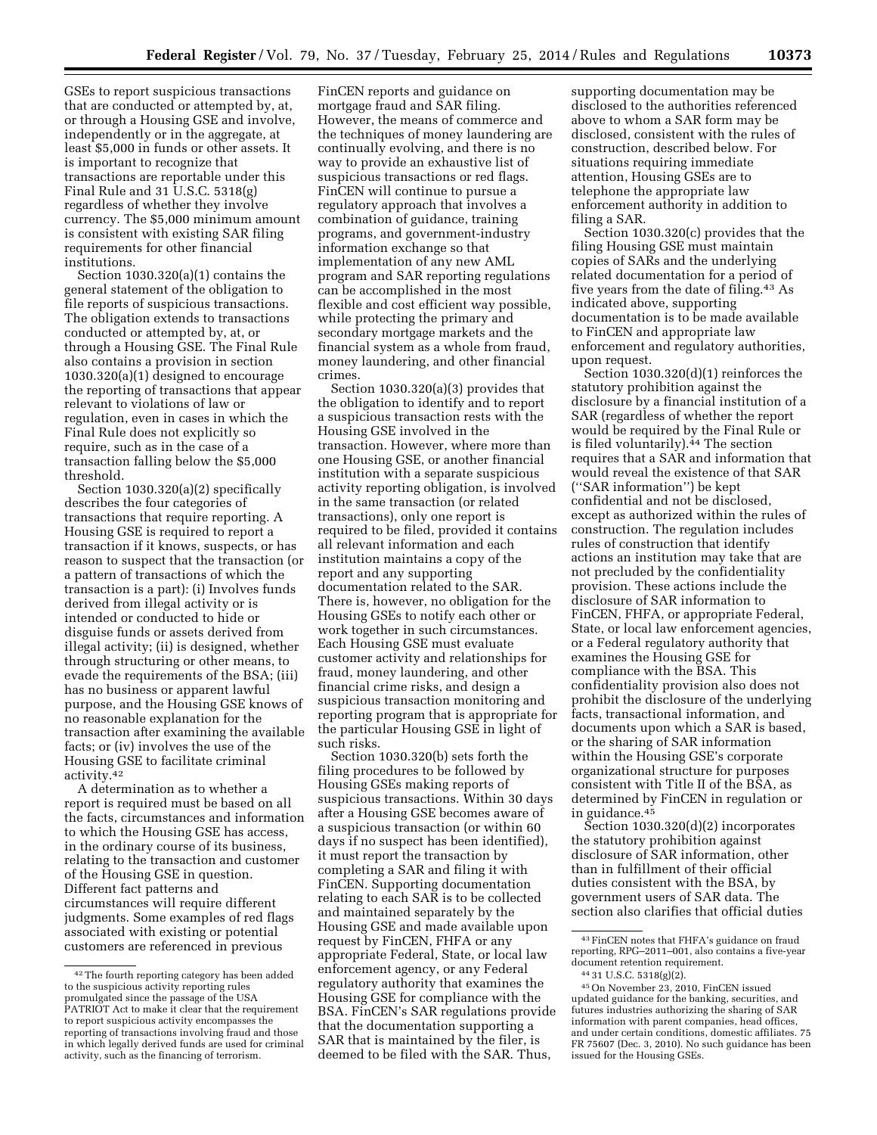GSEs to report suspicious transactions that are conducted or attempted by, at, or through a Housing GSE and involve, independently or in the aggregate, at least \$5,000 in funds or other assets. It is important to recognize that transactions are reportable under this Final Rule and 31 U.S.C. 5318(g) regardless of whether they involve currency. The \$5,000 minimum amount is consistent with existing SAR filing requirements for other financial institutions.

Section 1030.320(a)(1) contains the general statement of the obligation to file reports of suspicious transactions. The obligation extends to transactions conducted or attempted by, at, or through a Housing GSE. The Final Rule also contains a provision in section 1030.320(a)(1) designed to encourage the reporting of transactions that appear relevant to violations of law or regulation, even in cases in which the Final Rule does not explicitly so require, such as in the case of a transaction falling below the \$5,000 threshold.

Section 1030.320(a)(2) specifically describes the four categories of transactions that require reporting. A Housing GSE is required to report a transaction if it knows, suspects, or has reason to suspect that the transaction (or a pattern of transactions of which the transaction is a part): (i) Involves funds derived from illegal activity or is intended or conducted to hide or disguise funds or assets derived from illegal activity; (ii) is designed, whether through structuring or other means, to evade the requirements of the BSA; (iii) has no business or apparent lawful purpose, and the Housing GSE knows of no reasonable explanation for the transaction after examining the available facts; or (iv) involves the use of the Housing GSE to facilitate criminal activity.42

A determination as to whether a report is required must be based on all the facts, circumstances and information to which the Housing GSE has access, in the ordinary course of its business, relating to the transaction and customer of the Housing GSE in question. Different fact patterns and circumstances will require different judgments. Some examples of red flags associated with existing or potential customers are referenced in previous

FinCEN reports and guidance on mortgage fraud and SAR filing. However, the means of commerce and the techniques of money laundering are continually evolving, and there is no way to provide an exhaustive list of suspicious transactions or red flags. FinCEN will continue to pursue a regulatory approach that involves a combination of guidance, training programs, and government-industry information exchange so that implementation of any new AML program and SAR reporting regulations can be accomplished in the most flexible and cost efficient way possible, while protecting the primary and secondary mortgage markets and the financial system as a whole from fraud, money laundering, and other financial crimes.

Section 1030.320(a)(3) provides that the obligation to identify and to report a suspicious transaction rests with the Housing GSE involved in the transaction. However, where more than one Housing GSE, or another financial institution with a separate suspicious activity reporting obligation, is involved in the same transaction (or related transactions), only one report is required to be filed, provided it contains all relevant information and each institution maintains a copy of the report and any supporting documentation related to the SAR. There is, however, no obligation for the Housing GSEs to notify each other or work together in such circumstances. Each Housing GSE must evaluate customer activity and relationships for fraud, money laundering, and other financial crime risks, and design a suspicious transaction monitoring and reporting program that is appropriate for the particular Housing GSE in light of such risks.

Section 1030.320(b) sets forth the filing procedures to be followed by Housing GSEs making reports of suspicious transactions. Within 30 days after a Housing GSE becomes aware of a suspicious transaction (or within 60 days if no suspect has been identified), it must report the transaction by completing a SAR and filing it with FinCEN. Supporting documentation relating to each SAR is to be collected and maintained separately by the Housing GSE and made available upon request by FinCEN, FHFA or any appropriate Federal, State, or local law enforcement agency, or any Federal regulatory authority that examines the Housing GSE for compliance with the BSA. FinCEN's SAR regulations provide that the documentation supporting a SAR that is maintained by the filer, is deemed to be filed with the SAR. Thus,

supporting documentation may be disclosed to the authorities referenced above to whom a SAR form may be disclosed, consistent with the rules of construction, described below. For situations requiring immediate attention, Housing GSEs are to telephone the appropriate law enforcement authority in addition to filing a SAR.

Section 1030.320(c) provides that the filing Housing GSE must maintain copies of SARs and the underlying related documentation for a period of five years from the date of filing.43 As indicated above, supporting documentation is to be made available to FinCEN and appropriate law enforcement and regulatory authorities, upon request.

Section 1030.320(d)(1) reinforces the statutory prohibition against the disclosure by a financial institution of a SAR (regardless of whether the report would be required by the Final Rule or is filed voluntarily).<sup>44</sup> The section requires that a SAR and information that would reveal the existence of that SAR (''SAR information'') be kept confidential and not be disclosed, except as authorized within the rules of construction. The regulation includes rules of construction that identify actions an institution may take that are not precluded by the confidentiality provision. These actions include the disclosure of SAR information to FinCEN, FHFA, or appropriate Federal, State, or local law enforcement agencies, or a Federal regulatory authority that examines the Housing GSE for compliance with the BSA. This confidentiality provision also does not prohibit the disclosure of the underlying facts, transactional information, and documents upon which a SAR is based, or the sharing of SAR information within the Housing GSE's corporate organizational structure for purposes consistent with Title II of the BSA, as determined by FinCEN in regulation or in guidance.45

Section 1030.320(d)(2) incorporates the statutory prohibition against disclosure of SAR information, other than in fulfillment of their official duties consistent with the BSA, by government users of SAR data. The section also clarifies that official duties

<sup>42</sup>The fourth reporting category has been added to the suspicious activity reporting rules promulgated since the passage of the USA PATRIOT Act to make it clear that the requirement to report suspicious activity encompasses the reporting of transactions involving fraud and those in which legally derived funds are used for criminal activity, such as the financing of terrorism.

<sup>43</sup>FinCEN notes that FHFA's guidance on fraud reporting, RPG–2011–001, also contains a five-year document retention requirement.<br><sup>44</sup> 31 U.S.C. 5318(g)(2).<br><sup>45</sup> On November 23, 2010, FinCEN issued

updated guidance for the banking, securities, and futures industries authorizing the sharing of SAR information with parent companies, head offices, and under certain conditions, domestic affiliates. 75 FR 75607 (Dec. 3, 2010). No such guidance has been issued for the Housing GSEs.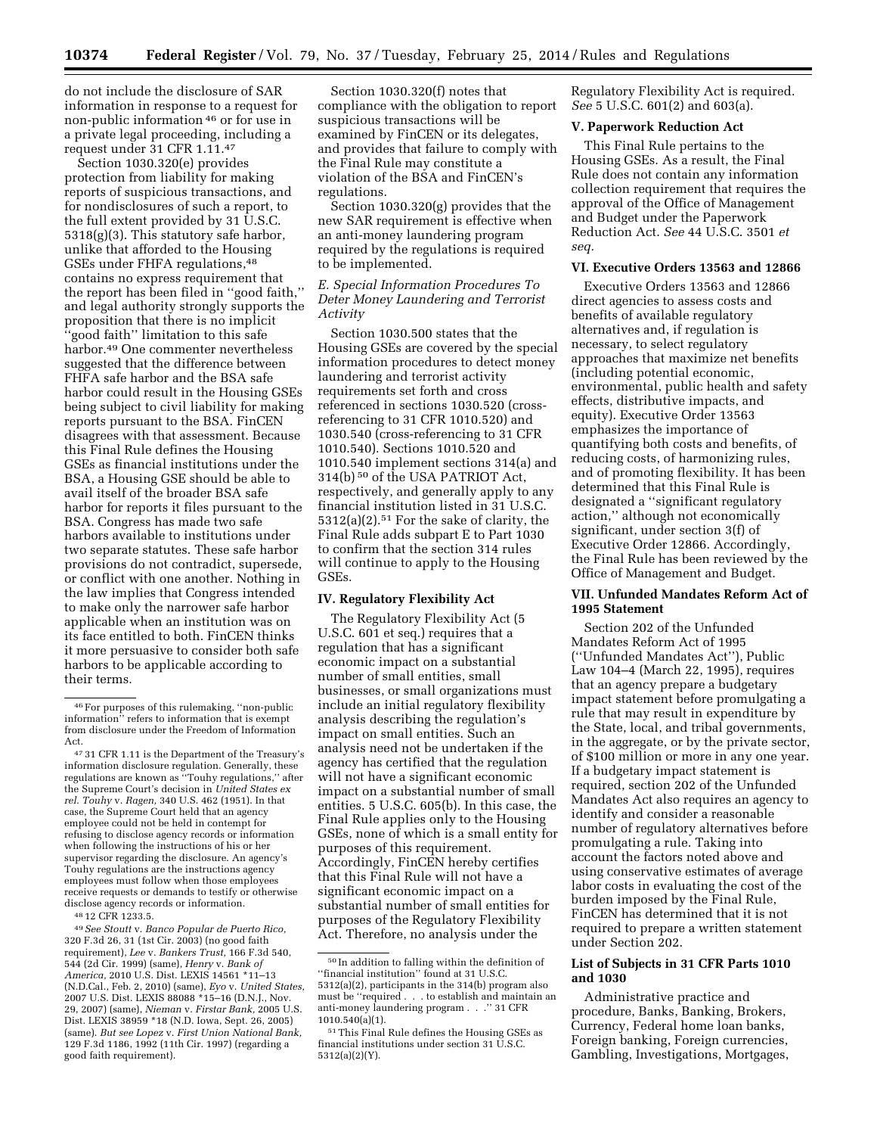do not include the disclosure of SAR information in response to a request for non-public information 46 or for use in a private legal proceeding, including a request under 31 CFR 1.11.47

Section 1030.320(e) provides protection from liability for making reports of suspicious transactions, and for nondisclosures of such a report, to the full extent provided by 31 U.S.C. 5318(g)(3). This statutory safe harbor, unlike that afforded to the Housing GSEs under FHFA regulations,<sup>48</sup> contains no express requirement that the report has been filed in ''good faith,'' and legal authority strongly supports the proposition that there is no implicit ''good faith'' limitation to this safe harbor.49 One commenter nevertheless suggested that the difference between FHFA safe harbor and the BSA safe harbor could result in the Housing GSEs being subject to civil liability for making reports pursuant to the BSA. FinCEN disagrees with that assessment. Because this Final Rule defines the Housing GSEs as financial institutions under the BSA, a Housing GSE should be able to avail itself of the broader BSA safe harbor for reports it files pursuant to the BSA. Congress has made two safe harbors available to institutions under two separate statutes. These safe harbor provisions do not contradict, supersede, or conflict with one another. Nothing in the law implies that Congress intended to make only the narrower safe harbor applicable when an institution was on its face entitled to both. FinCEN thinks it more persuasive to consider both safe harbors to be applicable according to their terms.

48 12 CFR 1233.5.

49*See Stoutt* v. *Banco Popular de Puerto Rico,*  320 F.3d 26, 31 (1st Cir. 2003) (no good faith requirement), *Lee* v. *Bankers Trust,* 166 F.3d 540, 544 (2d Cir. 1999) (same), *Henry* v. *Bank of America,* 2010 U.S. Dist. LEXIS 14561 \*11–13 (N.D.Cal., Feb. 2, 2010) (same), *Eyo* v. *United States,*  2007 U.S. Dist. LEXIS 88088 \*15–16 (D.N.J., Nov. 29, 2007) (same), *Nieman* v. *Firstar Bank,* 2005 U.S. Dist. LEXIS 38959 \*18 (N.D. Iowa, Sept. 26, 2005) (same). *But see Lopez* v. *First Union National Bank,*  129 F.3d 1186, 1992 (11th Cir. 1997) (regarding a good faith requirement).

Section 1030.320(f) notes that compliance with the obligation to report suspicious transactions will be examined by FinCEN or its delegates, and provides that failure to comply with the Final Rule may constitute a violation of the BSA and FinCEN's regulations.

Section 1030.320(g) provides that the new SAR requirement is effective when an anti-money laundering program required by the regulations is required to be implemented.

## *E. Special Information Procedures To Deter Money Laundering and Terrorist Activity*

Section 1030.500 states that the Housing GSEs are covered by the special information procedures to detect money laundering and terrorist activity requirements set forth and cross referenced in sections 1030.520 (crossreferencing to 31 CFR 1010.520) and 1030.540 (cross-referencing to 31 CFR 1010.540). Sections 1010.520 and 1010.540 implement sections 314(a) and 314(b) 50 of the USA PATRIOT Act, respectively, and generally apply to any financial institution listed in 31 U.S.C. 5312(a)(2).51 For the sake of clarity, the Final Rule adds subpart E to Part 1030 to confirm that the section 314 rules will continue to apply to the Housing GSEs.

## **IV. Regulatory Flexibility Act**

The Regulatory Flexibility Act (5 U.S.C. 601 et seq.) requires that a regulation that has a significant economic impact on a substantial number of small entities, small businesses, or small organizations must include an initial regulatory flexibility analysis describing the regulation's impact on small entities. Such an analysis need not be undertaken if the agency has certified that the regulation will not have a significant economic impact on a substantial number of small entities. 5 U.S.C. 605(b). In this case, the Final Rule applies only to the Housing GSEs, none of which is a small entity for purposes of this requirement. Accordingly, FinCEN hereby certifies that this Final Rule will not have a significant economic impact on a substantial number of small entities for purposes of the Regulatory Flexibility Act. Therefore, no analysis under the

Regulatory Flexibility Act is required. *See* 5 U.S.C. 601(2) and 603(a).

### **V. Paperwork Reduction Act**

This Final Rule pertains to the Housing GSEs. As a result, the Final Rule does not contain any information collection requirement that requires the approval of the Office of Management and Budget under the Paperwork Reduction Act. *See* 44 U.S.C. 3501 *et seq.* 

### **VI. Executive Orders 13563 and 12866**

Executive Orders 13563 and 12866 direct agencies to assess costs and benefits of available regulatory alternatives and, if regulation is necessary, to select regulatory approaches that maximize net benefits (including potential economic, environmental, public health and safety effects, distributive impacts, and equity). Executive Order 13563 emphasizes the importance of quantifying both costs and benefits, of reducing costs, of harmonizing rules, and of promoting flexibility. It has been determined that this Final Rule is designated a ''significant regulatory action,'' although not economically significant, under section 3(f) of Executive Order 12866. Accordingly, the Final Rule has been reviewed by the Office of Management and Budget.

## **VII. Unfunded Mandates Reform Act of 1995 Statement**

Section 202 of the Unfunded Mandates Reform Act of 1995 (''Unfunded Mandates Act''), Public Law 104–4 (March 22, 1995), requires that an agency prepare a budgetary impact statement before promulgating a rule that may result in expenditure by the State, local, and tribal governments, in the aggregate, or by the private sector, of \$100 million or more in any one year. If a budgetary impact statement is required, section 202 of the Unfunded Mandates Act also requires an agency to identify and consider a reasonable number of regulatory alternatives before promulgating a rule. Taking into account the factors noted above and using conservative estimates of average labor costs in evaluating the cost of the burden imposed by the Final Rule, FinCEN has determined that it is not required to prepare a written statement under Section 202.

## **List of Subjects in 31 CFR Parts 1010 and 1030**

Administrative practice and procedure, Banks, Banking, Brokers, Currency, Federal home loan banks, Foreign banking, Foreign currencies, Gambling, Investigations, Mortgages,

<sup>46</sup>For purposes of this rulemaking, ''non-public information'' refers to information that is exempt from disclosure under the Freedom of Information Act.

<sup>47</sup> 31 CFR 1.11 is the Department of the Treasury's information disclosure regulation. Generally, these regulations are known as ''Touhy regulations,'' after the Supreme Court's decision in *United States ex rel. Touhy* v. *Ragen,* 340 U.S. 462 (1951). In that case, the Supreme Court held that an agency employee could not be held in contempt for refusing to disclose agency records or information when following the instructions of his or her supervisor regarding the disclosure. An agency's Touhy regulations are the instructions agency employees must follow when those employees receive requests or demands to testify or otherwise disclose agency records or information.

<sup>50</sup> In addition to falling within the definition of ''financial institution'' found at 31 U.S.C. 5312(a)(2), participants in the 314(b) program also must be ''required . . . to establish and maintain an anti-money laundering program . . .'' 31 CFR 1010.540(a)(1).

<sup>51</sup>This Final Rule defines the Housing GSEs as financial institutions under section 31 U.S.C. 5312(a)(2)(Y).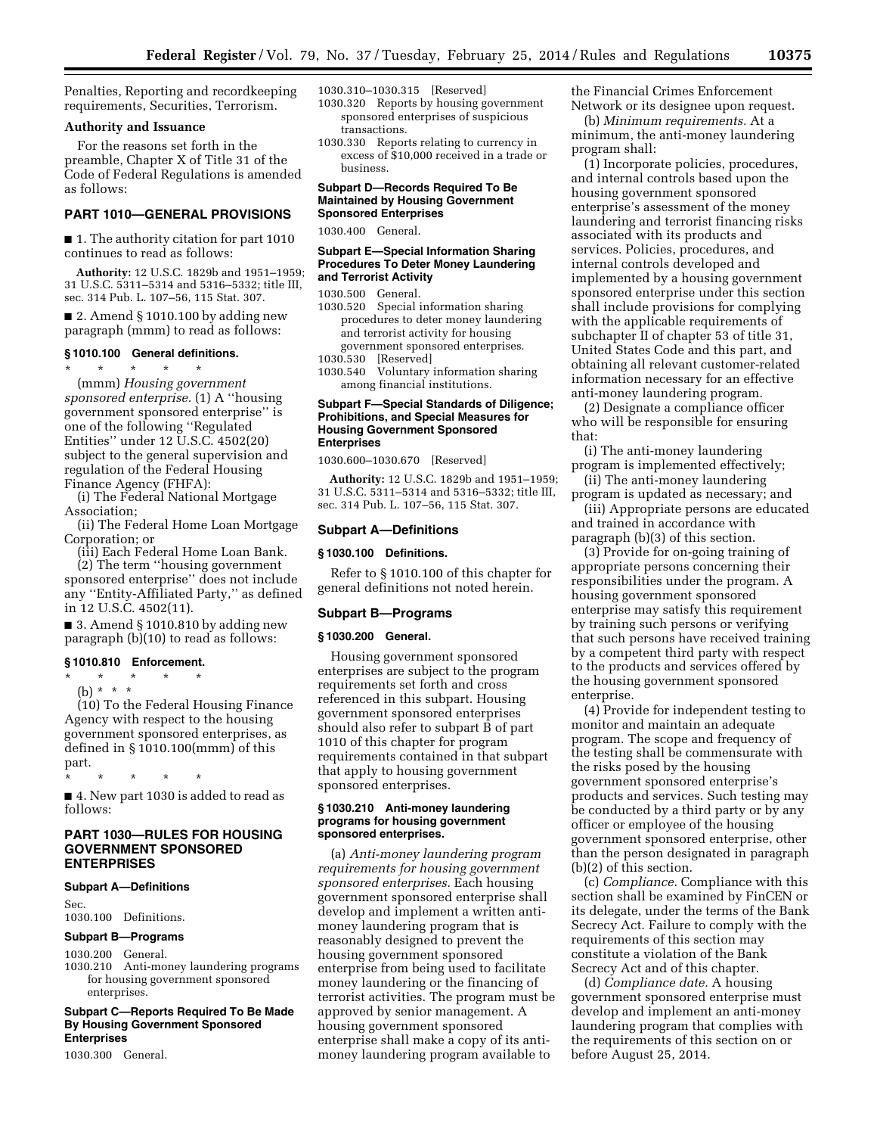Penalties, Reporting and recordkeeping requirements, Securities, Terrorism.

### **Authority and Issuance**

For the reasons set forth in the preamble, Chapter X of Title 31 of the Code of Federal Regulations is amended as follows:

## **PART 1010—GENERAL PROVISIONS**

■ 1. The authority citation for part 1010 continues to read as follows:

**Authority:** 12 U.S.C. 1829b and 1951–1959; 31 U.S.C. 5311–5314 and 5316–5332; title III, sec. 314 Pub. L. 107–56, 115 Stat. 307.

■ 2. Amend § 1010.100 by adding new paragraph (mmm) to read as follows:

## **§ 1010.100 General definitions.**

\* \* \* \* \* (mmm) *Housing government sponsored enterprise.* (1) A ''housing government sponsored enterprise'' is one of the following ''Regulated Entities'' under 12 U.S.C. 4502(20) subject to the general supervision and regulation of the Federal Housing Finance Agency (FHFA):

(i) The Federal National Mortgage Association;

(ii) The Federal Home Loan Mortgage Corporation; or

(iii) Each Federal Home Loan Bank.

(2) The term ''housing government sponsored enterprise'' does not include any ''Entity-Affiliated Party,'' as defined in 12 U.S.C. 4502(11).

 $\blacksquare$  3. Amend § 1010.810 by adding new paragraph (b)(10) to read as follows:

### **§ 1010.810 Enforcement.**

\* \* \* \* \* (b) \* \* \*

(10) To the Federal Housing Finance Agency with respect to the housing government sponsored enterprises, as defined in § 1010.100(mmm) of this part.

\* \* \* \* \*

■ 4. New part 1030 is added to read as follows:

## **PART 1030—RULES FOR HOUSING GOVERNMENT SPONSORED ENTERPRISES**

#### **Subpart A—Definitions**

Sec. 1030.100 Definitions.

### **Subpart B—Programs**

1030.200 General.

1030.210 Anti-money laundering programs for housing government sponsored enterprises.

**Subpart C—Reports Required To Be Made By Housing Government Sponsored Enterprises** 

1030.300 General.

1030.310–1030.315 [Reserved]

- 1030.320 Reports by housing government sponsored enterprises of suspicious transactions.
- 1030.330 Reports relating to currency in excess of \$10,000 received in a trade or business.

### **Subpart D—Records Required To Be Maintained by Housing Government Sponsored Enterprises**

1030.400 General.

## **Subpart E—Special Information Sharing Procedures To Deter Money Laundering and Terrorist Activity**

1030.500 General.

- 1030.520 Special information sharing procedures to deter money laundering and terrorist activity for housing government sponsored enterprises.
- 1030.530 [Reserved]
- 1030.540 Voluntary information sharing among financial institutions.

### **Subpart F—Special Standards of Diligence; Prohibitions, and Special Measures for Housing Government Sponsored Enterprises**

1030.600–1030.670 [Reserved]

**Authority:** 12 U.S.C. 1829b and 1951–1959; 31 U.S.C. 5311–5314 and 5316–5332; title III, sec. 314 Pub. L. 107–56, 115 Stat. 307.

#### **Subpart A—Definitions**

#### **§ 1030.100 Definitions.**

Refer to § 1010.100 of this chapter for general definitions not noted herein.

## **Subpart B—Programs**

## **§ 1030.200 General.**

Housing government sponsored enterprises are subject to the program requirements set forth and cross referenced in this subpart. Housing government sponsored enterprises should also refer to subpart B of part 1010 of this chapter for program requirements contained in that subpart that apply to housing government sponsored enterprises.

### **§ 1030.210 Anti-money laundering programs for housing government sponsored enterprises.**

(a) *Anti-money laundering program requirements for housing government sponsored enterprises.* Each housing government sponsored enterprise shall develop and implement a written antimoney laundering program that is reasonably designed to prevent the housing government sponsored enterprise from being used to facilitate money laundering or the financing of terrorist activities. The program must be approved by senior management. A housing government sponsored enterprise shall make a copy of its antimoney laundering program available to

the Financial Crimes Enforcement Network or its designee upon request.

(b) *Minimum requirements.* At a minimum, the anti-money laundering program shall:

(1) Incorporate policies, procedures, and internal controls based upon the housing government sponsored enterprise's assessment of the money laundering and terrorist financing risks associated with its products and services. Policies, procedures, and internal controls developed and implemented by a housing government sponsored enterprise under this section shall include provisions for complying with the applicable requirements of subchapter II of chapter 53 of title 31, United States Code and this part, and obtaining all relevant customer-related information necessary for an effective anti-money laundering program.

(2) Designate a compliance officer who will be responsible for ensuring that:

(i) The anti-money laundering program is implemented effectively;

(ii) The anti-money laundering program is updated as necessary; and

(iii) Appropriate persons are educated and trained in accordance with paragraph (b)(3) of this section.

(3) Provide for on-going training of appropriate persons concerning their responsibilities under the program. A housing government sponsored enterprise may satisfy this requirement by training such persons or verifying that such persons have received training by a competent third party with respect to the products and services offered by the housing government sponsored enterprise.

(4) Provide for independent testing to monitor and maintain an adequate program. The scope and frequency of the testing shall be commensurate with the risks posed by the housing government sponsored enterprise's products and services. Such testing may be conducted by a third party or by any officer or employee of the housing government sponsored enterprise, other than the person designated in paragraph (b)(2) of this section.

(c) *Compliance.* Compliance with this section shall be examined by FinCEN or its delegate, under the terms of the Bank Secrecy Act. Failure to comply with the requirements of this section may constitute a violation of the Bank Secrecy Act and of this chapter.

(d) *Compliance date.* A housing government sponsored enterprise must develop and implement an anti-money laundering program that complies with the requirements of this section on or before August 25, 2014.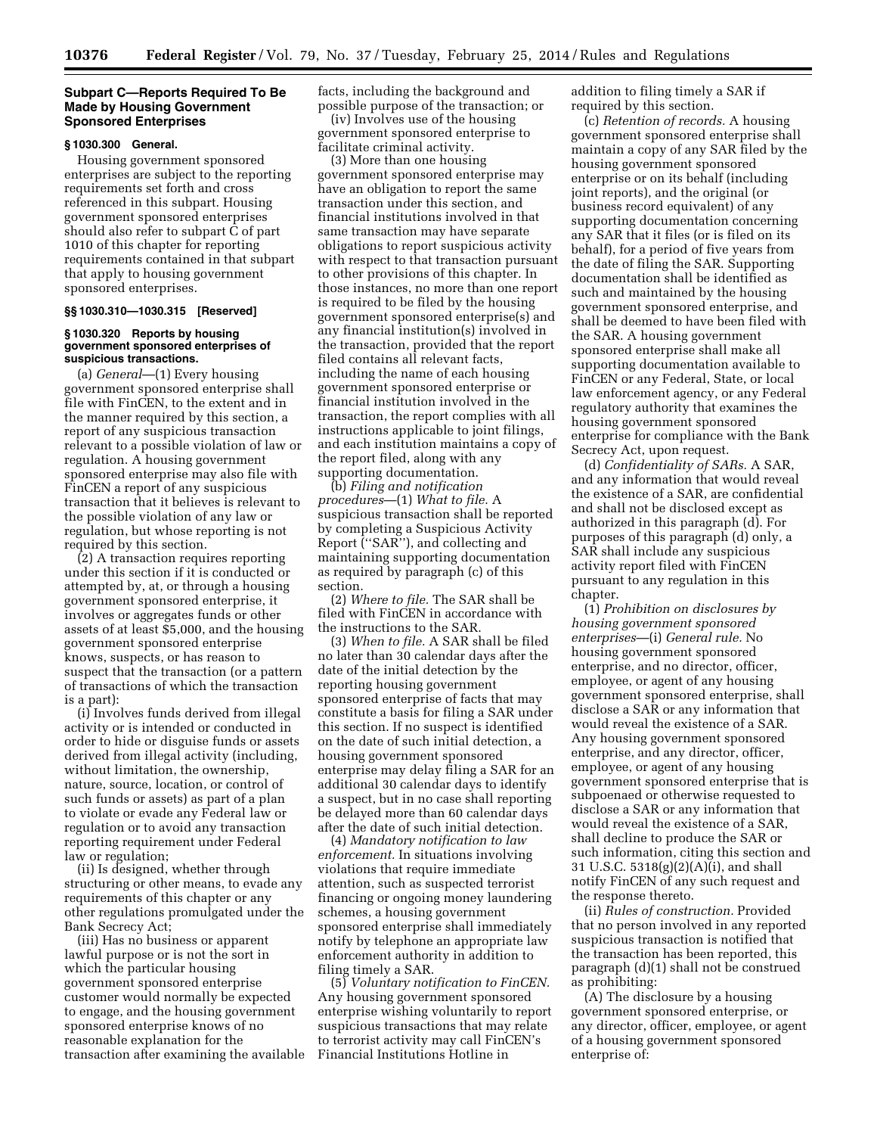### **Subpart C—Reports Required To Be Made by Housing Government Sponsored Enterprises**

### **§ 1030.300 General.**

Housing government sponsored enterprises are subject to the reporting requirements set forth and cross referenced in this subpart. Housing government sponsored enterprises should also refer to subpart C of part 1010 of this chapter for reporting requirements contained in that subpart that apply to housing government sponsored enterprises.

### **§§ 1030.310—1030.315 [Reserved]**

### **§ 1030.320 Reports by housing government sponsored enterprises of suspicious transactions.**

(a) *General*—(1) Every housing government sponsored enterprise shall file with FinCEN, to the extent and in the manner required by this section, a report of any suspicious transaction relevant to a possible violation of law or regulation. A housing government sponsored enterprise may also file with FinCEN a report of any suspicious transaction that it believes is relevant to the possible violation of any law or regulation, but whose reporting is not required by this section.

(2) A transaction requires reporting under this section if it is conducted or attempted by, at, or through a housing government sponsored enterprise, it involves or aggregates funds or other assets of at least \$5,000, and the housing government sponsored enterprise knows, suspects, or has reason to suspect that the transaction (or a pattern of transactions of which the transaction is a part):

(i) Involves funds derived from illegal activity or is intended or conducted in order to hide or disguise funds or assets derived from illegal activity (including, without limitation, the ownership, nature, source, location, or control of such funds or assets) as part of a plan to violate or evade any Federal law or regulation or to avoid any transaction reporting requirement under Federal law or regulation;

(ii) Is designed, whether through structuring or other means, to evade any requirements of this chapter or any other regulations promulgated under the Bank Secrecy Act;

(iii) Has no business or apparent lawful purpose or is not the sort in which the particular housing government sponsored enterprise customer would normally be expected to engage, and the housing government sponsored enterprise knows of no reasonable explanation for the transaction after examining the available facts, including the background and possible purpose of the transaction; or

(iv) Involves use of the housing government sponsored enterprise to facilitate criminal activity.

(3) More than one housing government sponsored enterprise may have an obligation to report the same transaction under this section, and financial institutions involved in that same transaction may have separate obligations to report suspicious activity with respect to that transaction pursuant to other provisions of this chapter. In those instances, no more than one report is required to be filed by the housing government sponsored enterprise(s) and any financial institution(s) involved in the transaction, provided that the report filed contains all relevant facts, including the name of each housing government sponsored enterprise or financial institution involved in the transaction, the report complies with all instructions applicable to joint filings, and each institution maintains a copy of the report filed, along with any supporting documentation.

(b) *Filing and notification procedures*—(1) *What to file.* A suspicious transaction shall be reported by completing a Suspicious Activity Report (''SAR''), and collecting and maintaining supporting documentation as required by paragraph (c) of this section.

(2) *Where to file.* The SAR shall be filed with FinCEN in accordance with the instructions to the SAR.

(3) *When to file.* A SAR shall be filed no later than 30 calendar days after the date of the initial detection by the reporting housing government sponsored enterprise of facts that may constitute a basis for filing a SAR under this section. If no suspect is identified on the date of such initial detection, a housing government sponsored enterprise may delay filing a SAR for an additional 30 calendar days to identify a suspect, but in no case shall reporting be delayed more than 60 calendar days after the date of such initial detection.

(4) *Mandatory notification to law enforcement.* In situations involving violations that require immediate attention, such as suspected terrorist financing or ongoing money laundering schemes, a housing government sponsored enterprise shall immediately notify by telephone an appropriate law enforcement authority in addition to filing timely a SAR.

(5) *Voluntary notification to FinCEN.*  Any housing government sponsored enterprise wishing voluntarily to report suspicious transactions that may relate to terrorist activity may call FinCEN's Financial Institutions Hotline in

addition to filing timely a SAR if required by this section.

(c) *Retention of records.* A housing government sponsored enterprise shall maintain a copy of any SAR filed by the housing government sponsored enterprise or on its behalf (including joint reports), and the original (or business record equivalent) of any supporting documentation concerning any SAR that it files (or is filed on its behalf), for a period of five years from the date of filing the SAR. Supporting documentation shall be identified as such and maintained by the housing government sponsored enterprise, and shall be deemed to have been filed with the SAR. A housing government sponsored enterprise shall make all supporting documentation available to FinCEN or any Federal, State, or local law enforcement agency, or any Federal regulatory authority that examines the housing government sponsored enterprise for compliance with the Bank Secrecy Act, upon request.

(d) *Confidentiality of SARs.* A SAR, and any information that would reveal the existence of a SAR, are confidential and shall not be disclosed except as authorized in this paragraph (d). For purposes of this paragraph (d) only, a SAR shall include any suspicious activity report filed with FinCEN pursuant to any regulation in this chapter.

(1) *Prohibition on disclosures by housing government sponsored enterprises*—(i) *General rule.* No housing government sponsored enterprise, and no director, officer, employee, or agent of any housing government sponsored enterprise, shall disclose a SAR or any information that would reveal the existence of a SAR. Any housing government sponsored enterprise, and any director, officer, employee, or agent of any housing government sponsored enterprise that is subpoenaed or otherwise requested to disclose a SAR or any information that would reveal the existence of a SAR, shall decline to produce the SAR or such information, citing this section and 31 U.S.C.  $5318(g)(2)(A)(i)$ , and shall notify FinCEN of any such request and the response thereto.

(ii) *Rules of construction.* Provided that no person involved in any reported suspicious transaction is notified that the transaction has been reported, this paragraph (d)(1) shall not be construed as prohibiting:

(A) The disclosure by a housing government sponsored enterprise, or any director, officer, employee, or agent of a housing government sponsored enterprise of: